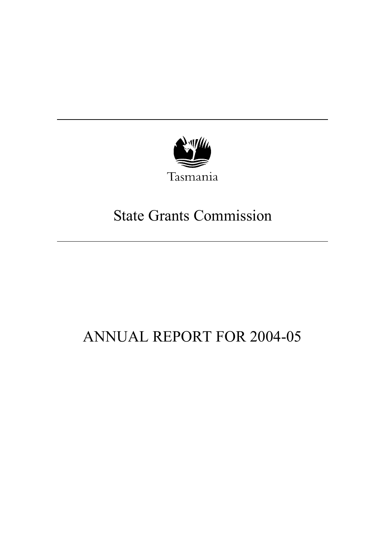

# State Grants Commission

# ANNUAL REPORT FOR 2004-05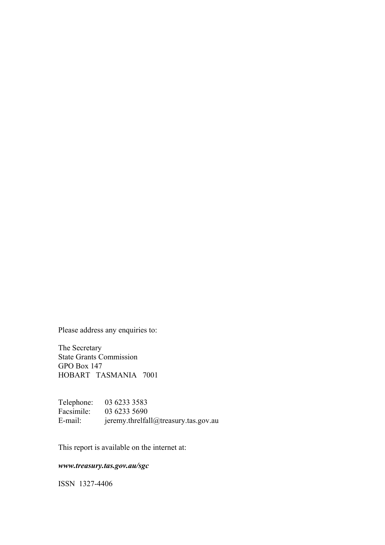Please address any enquiries to:

The Secretary State Grants Commission GPO Box 147 HOBART TASMANIA 7001

Telephone: 03 6233 3583 Facsimile: 03 6233 5690 E-mail: jeremy.threlfall@treasury.tas.gov.au

This report is available on the internet at:

### *www.treasury.tas.gov.au/sgc*

ISSN 1327-4406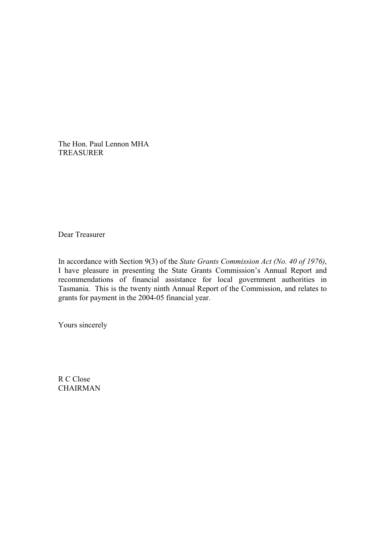The Hon. Paul Lennon MHA TREASURER

Dear Treasurer

In accordance with Section 9(3) of the *State Grants Commission Act (No. 40 of 1976)*, I have pleasure in presenting the State Grants Commission's Annual Report and recommendations of financial assistance for local government authorities in Tasmania. This is the twenty ninth Annual Report of the Commission, and relates to grants for payment in the 2004-05 financial year.

Yours sincerely

R C Close CHAIRMAN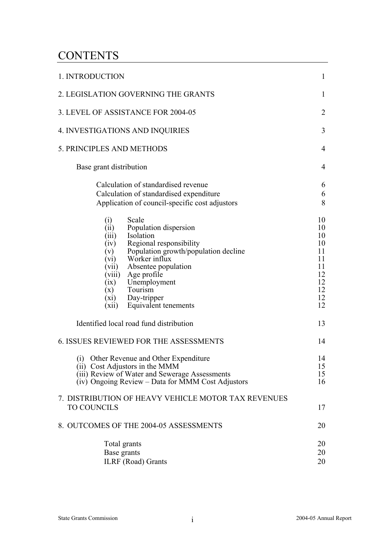# **CONTENTS**

| 1. INTRODUCTION                                                                                                                                                                                                                                                                                                               | $\mathbf{1}$                                                         |
|-------------------------------------------------------------------------------------------------------------------------------------------------------------------------------------------------------------------------------------------------------------------------------------------------------------------------------|----------------------------------------------------------------------|
| 2. LEGISLATION GOVERNING THE GRANTS                                                                                                                                                                                                                                                                                           | $\mathbf{1}$                                                         |
| 3. LEVEL OF ASSISTANCE FOR 2004-05                                                                                                                                                                                                                                                                                            | $\overline{2}$                                                       |
| <b>4. INVESTIGATIONS AND INQUIRIES</b>                                                                                                                                                                                                                                                                                        | 3                                                                    |
| 5. PRINCIPLES AND METHODS                                                                                                                                                                                                                                                                                                     | 4                                                                    |
| Base grant distribution                                                                                                                                                                                                                                                                                                       | 4                                                                    |
| Calculation of standardised revenue<br>Calculation of standardised expenditure<br>Application of council-specific cost adjustors                                                                                                                                                                                              | 6<br>6<br>8                                                          |
| Scale<br>(i)<br>Population dispersion<br>(ii)<br>Isolation<br>(iii)<br>Regional responsibility<br>(iv)<br>Population growth/population decline<br>(v)<br>Worker influx<br>(vi)<br>Absentee population<br>(vii)<br>(viii) Age profile<br>(ix) Unemployment<br>Tourism<br>(x)<br>(xi) Day-tripper<br>(xii) Equivalent tenements | 10<br>10<br>10<br>10<br>11<br>11<br>11<br>12<br>12<br>12<br>12<br>12 |
| Identified local road fund distribution                                                                                                                                                                                                                                                                                       | 13                                                                   |
| <b>6. ISSUES REVIEWED FOR THE ASSESSMENTS</b>                                                                                                                                                                                                                                                                                 | 14                                                                   |
| (i) Other Revenue and Other Expenditure<br>(ii) Cost Adjustors in the MMM<br>(iii) Review of Water and Sewerage Assessments<br>(iv) Ongoing Review – Data for MMM Cost Adjustors                                                                                                                                              | 14<br>15<br>15<br>16                                                 |
| 7. DISTRIBUTION OF HEAVY VEHICLE MOTOR TAX REVENUES<br><b>TO COUNCILS</b>                                                                                                                                                                                                                                                     | 17                                                                   |
| 8. OUTCOMES OF THE 2004-05 ASSESSMENTS                                                                                                                                                                                                                                                                                        | 20                                                                   |
| Total grants<br>Base grants<br><b>ILRF</b> (Road) Grants                                                                                                                                                                                                                                                                      | 20<br>20<br>20                                                       |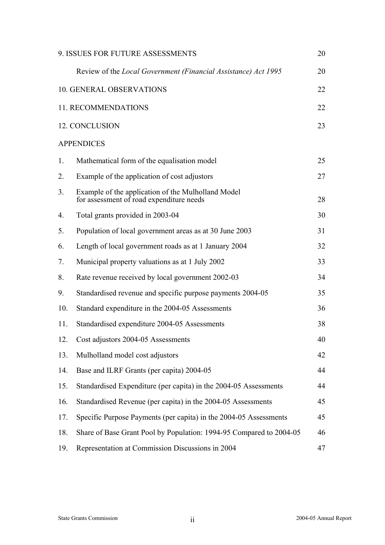|     | 9. ISSUES FOR FUTURE ASSESSMENTS                                                               | 20 |
|-----|------------------------------------------------------------------------------------------------|----|
|     | Review of the Local Government (Financial Assistance) Act 1995                                 | 20 |
|     | <b>10. GENERAL OBSERVATIONS</b>                                                                | 22 |
|     | 11. RECOMMENDATIONS                                                                            | 22 |
|     | 12. CONCLUSION                                                                                 | 23 |
|     | <b>APPENDICES</b>                                                                              |    |
| 1.  | Mathematical form of the equalisation model                                                    | 25 |
| 2.  | Example of the application of cost adjustors                                                   | 27 |
| 3.  | Example of the application of the Mulholland Model<br>for assessment of road expenditure needs | 28 |
| 4.  | Total grants provided in 2003-04                                                               | 30 |
| 5.  | Population of local government areas as at 30 June 2003                                        | 31 |
| 6.  | Length of local government roads as at 1 January 2004                                          | 32 |
| 7.  | Municipal property valuations as at 1 July 2002                                                | 33 |
| 8.  | Rate revenue received by local government 2002-03                                              | 34 |
| 9.  | Standardised revenue and specific purpose payments 2004-05                                     | 35 |
| 10. | Standard expenditure in the 2004-05 Assessments                                                | 36 |
| 11. | Standardised expenditure 2004-05 Assessments                                                   | 38 |
| 12. | Cost adjustors 2004-05 Assessments                                                             | 40 |
| 13. | Mulholland model cost adjustors                                                                | 42 |
| 14. | Base and ILRF Grants (per capita) 2004-05                                                      | 44 |
| 15. | Standardised Expenditure (per capita) in the 2004-05 Assessments                               | 44 |
| 16. | Standardised Revenue (per capita) in the 2004-05 Assessments                                   | 45 |
| 17. | Specific Purpose Payments (per capita) in the 2004-05 Assessments                              | 45 |
| 18. | Share of Base Grant Pool by Population: 1994-95 Compared to 2004-05                            | 46 |
| 19. | Representation at Commission Discussions in 2004                                               | 47 |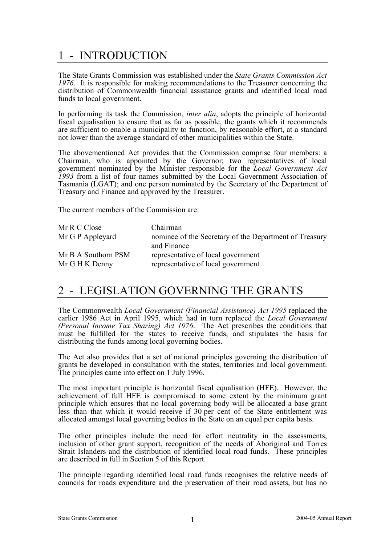# 1 - INTRODUCTION

The State Grants Commission was established under the *State Grants Commission Act 1976*. It is responsible for making recommendations to the Treasurer concerning the distribution of Commonwealth financial assistance grants and identified local road funds to local government.

In performing its task the Commission, *inter alia*, adopts the principle of horizontal fiscal equalisation to ensure that as far as possible, the grants which it recommends are sufficient to enable a municipality to function, by reasonable effort, at a standard not lower than the average standard of other municipalities within the State.

The abovementioned Act provides that the Commission comprise four members: a Chairman, who is appointed by the Governor; two representatives of local government nominated by the Minister responsible for the *Local Government Act 1993* from a list of four names submitted by the Local Government Association of Tasmania (LGAT); and one person nominated by the Secretary of the Department of Treasury and Finance and approved by the Treasurer.

The current members of the Commission are:

| Mr R C Close        | Chairman                                               |
|---------------------|--------------------------------------------------------|
| Mr G P Appleyard    | nominee of the Secretary of the Department of Treasury |
|                     | and Finance                                            |
| Mr B A Southorn PSM | representative of local government                     |
| Mr G H K Denny      | representative of local government                     |

# 2 - LEGISLATION GOVERNING THE GRANTS

The Commonwealth *Local Government (Financial Assistance) Act 1995* replaced the earlier 1986 Act in April 1995, which had in turn replaced the *Local Government (Personal Income Tax Sharing) Act 1976*. The Act prescribes the conditions that must be fulfilled for the states to receive funds, and stipulates the basis for distributing the funds among local governing bodies.

The Act also provides that a set of national principles governing the distribution of grants be developed in consultation with the states, territories and local government. The principles came into effect on 1 July 1996.

The most important principle is horizontal fiscal equalisation (HFE). However, the achievement of full HFE is compromised to some extent by the minimum grant principle which ensures that no local governing body will be allocated a base grant less than that which it would receive if 30 per cent of the State entitlement was allocated amongst local governing bodies in the State on an equal per capita basis.

The other principles include the need for effort neutrality in the assessments, inclusion of other grant support, recognition of the needs of Aboriginal and Torres Strait Islanders and the distribution of identified local road funds. These principles are described in full in Section 5 of this Report.

The principle regarding identified local road funds recognises the relative needs of councils for roads expenditure and the preservation of their road assets, but has no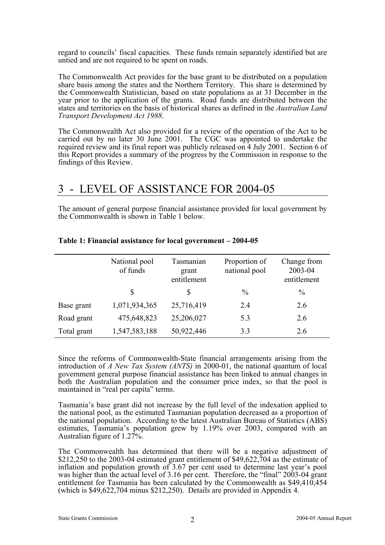regard to councils' fiscal capacities. These funds remain separately identified but are untied and are not required to be spent on roads.

The Commonwealth Act provides for the base grant to be distributed on a population share basis among the states and the Northern Territory. This share is determined by the Commonwealth Statistician, based on state populations as at 31 December in the year prior to the application of the grants. Road funds are distributed between the states and territories on the basis of historical shares as defined in the *Australian Land Transport Development Act 1988*.

The Commonwealth Act also provided for a review of the operation of the Act to be carried out by no later 30 June 2001. The CGC was appointed to undertake the required review and its final report was publicly released on 4 July 2001. Section 6 of this Report provides a summary of the progress by the Commission in response to the findings of this Review.

# 3 - LEVEL OF ASSISTANCE FOR 2004-05

The amount of general purpose financial assistance provided for local government by the Commonwealth is shown in Table 1 below.

|             | National pool<br>of funds | Tasmanian<br>grant<br>entitlement | Proportion of<br>national pool | Change from<br>2003-04<br>entitlement |
|-------------|---------------------------|-----------------------------------|--------------------------------|---------------------------------------|
|             | \$                        | \$                                | $\frac{0}{0}$                  | $\frac{0}{0}$                         |
| Base grant  | 1,071,934,365             | 25,716,419                        | 2.4                            | 2.6                                   |
| Road grant  | 475,648,823               | 25,206,027                        | 5.3                            | 2.6                                   |
| Total grant | 1,547,583,188             | 50,922,446                        | 3.3                            | 2.6                                   |

#### **Table 1: Financial assistance for local government – 2004-05**

Since the reforms of Commonwealth-State financial arrangements arising from the introduction of *A New Tax System (ANTS)* in 2000-01, the national quantum of local government general purpose financial assistance has been linked to annual changes in both the Australian population and the consumer price index, so that the pool is maintained in "real per capita" terms.

Tasmania's base grant did not increase by the full level of the indexation applied to the national pool, as the estimated Tasmanian population decreased as a proportion of the national population. According to the latest Australian Bureau of Statistics (ABS) estimates, Tasmania's population grew by 1.19% over 2003, compared with an Australian figure of 1.27%.

The Commonwealth has determined that there will be a negative adjustment of \$212,250 to the 2003-04 estimated grant entitlement of \$49,622,704 as the estimate of inflation and population growth of 3.67 per cent used to determine last year's pool was higher than the actual level of 3.16 per cent. Therefore, the "final" 2003-04 grant entitlement for Tasmania has been calculated by the Commonwealth as \$49,410,454 (which is \$49,622,704 minus \$212,250). Details are provided in Appendix 4.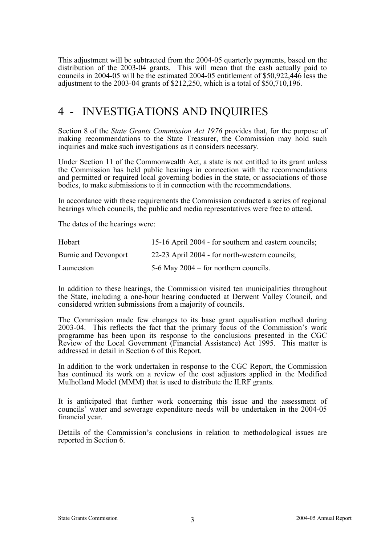This adjustment will be subtracted from the 2004-05 quarterly payments, based on the distribution of the 2003-04 grants. This will mean that the cash actually paid to councils in 2004-05 will be the estimated 2004-05 entitlement of \$50,922,446 less the adjustment to the 2003-04 grants of \$212,250, which is a total of \$50,710,196.

# 4 - INVESTIGATIONS AND INQUIRIES

Section 8 of the *State Grants Commission Act 1976* provides that, for the purpose of making recommendations to the State Treasurer, the Commission may hold such inquiries and make such investigations as it considers necessary.

Under Section 11 of the Commonwealth Act, a state is not entitled to its grant unless the Commission has held public hearings in connection with the recommendations and permitted or required local governing bodies in the state, or associations of those bodies, to make submissions to it in connection with the recommendations.

In accordance with these requirements the Commission conducted a series of regional hearings which councils, the public and media representatives were free to attend.

The dates of the hearings were:

| Hobart               | 15-16 April 2004 - for southern and eastern councils; |
|----------------------|-------------------------------------------------------|
| Burnie and Devonport | 22-23 April 2004 - for north-western councils;        |
| Launceston           | 5-6 May $2004$ – for northern councils.               |

In addition to these hearings, the Commission visited ten municipalities throughout the State, including a one-hour hearing conducted at Derwent Valley Council, and considered written submissions from a majority of councils.

The Commission made few changes to its base grant equalisation method during 2003-04. This reflects the fact that the primary focus of the Commission's work programme has been upon its response to the conclusions presented in the CGC Review of the Local Government (Financial Assistance) Act 1995. This matter is addressed in detail in Section 6 of this Report.

In addition to the work undertaken in response to the CGC Report, the Commission has continued its work on a review of the cost adjustors applied in the Modified Mulholland Model (MMM) that is used to distribute the ILRF grants.

It is anticipated that further work concerning this issue and the assessment of councils' water and sewerage expenditure needs will be undertaken in the 2004-05 financial year.

Details of the Commission's conclusions in relation to methodological issues are reported in Section 6.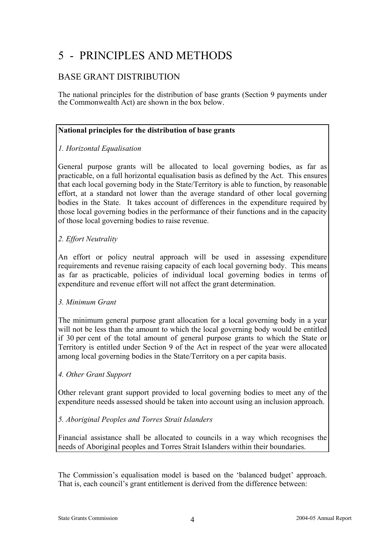# 5 - PRINCIPLES AND METHODS

### BASE GRANT DISTRIBUTION

The national principles for the distribution of base grants (Section 9 payments under the Commonwealth Act) are shown in the box below.

### **National principles for the distribution of base grants**

### *1. Horizontal Equalisation*

General purpose grants will be allocated to local governing bodies, as far as practicable, on a full horizontal equalisation basis as defined by the Act. This ensures that each local governing body in the State/Territory is able to function, by reasonable effort, at a standard not lower than the average standard of other local governing bodies in the State. It takes account of differences in the expenditure required by those local governing bodies in the performance of their functions and in the capacity of those local governing bodies to raise revenue.

### *2. Effort Neutrality*

An effort or policy neutral approach will be used in assessing expenditure requirements and revenue raising capacity of each local governing body. This means as far as practicable, policies of individual local governing bodies in terms of expenditure and revenue effort will not affect the grant determination.

### *3. Minimum Grant*

The minimum general purpose grant allocation for a local governing body in a year will not be less than the amount to which the local governing body would be entitled if 30 per cent of the total amount of general purpose grants to which the State or Territory is entitled under Section 9 of the Act in respect of the year were allocated among local governing bodies in the State/Territory on a per capita basis.

### *4. Other Grant Support*

Other relevant grant support provided to local governing bodies to meet any of the expenditure needs assessed should be taken into account using an inclusion approach.

### *5. Aboriginal Peoples and Torres Strait Islanders*

Financial assistance shall be allocated to councils in a way which recognises the needs of Aboriginal peoples and Torres Strait Islanders within their boundaries.

The Commission's equalisation model is based on the 'balanced budget' approach. That is, each council's grant entitlement is derived from the difference between: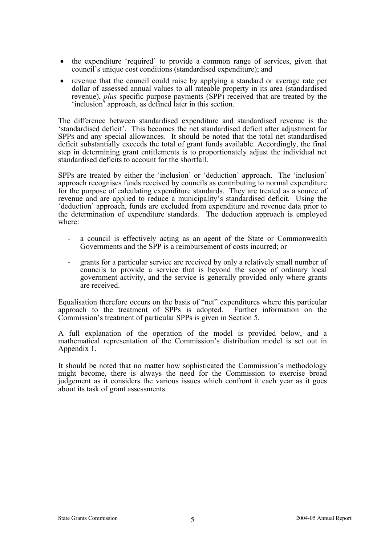- the expenditure 'required' to provide a common range of services, given that council's unique cost conditions (standardised expenditure); and
- revenue that the council could raise by applying a standard or average rate per dollar of assessed annual values to all rateable property in its area (standardised revenue), *plus* specific purpose payments (SPP) received that are treated by the 'inclusion' approach, as defined later in this section.

The difference between standardised expenditure and standardised revenue is the 'standardised deficit'. This becomes the net standardised deficit after adjustment for SPPs and any special allowances. It should be noted that the total net standardised deficit substantially exceeds the total of grant funds available. Accordingly, the final step in determining grant entitlements is to proportionately adjust the individual net standardised deficits to account for the shortfall.

SPPs are treated by either the 'inclusion' or 'deduction' approach. The 'inclusion' approach recognises funds received by councils as contributing to normal expenditure for the purpose of calculating expenditure standards. They are treated as a source of revenue and are applied to reduce a municipality's standardised deficit. Using the 'deduction' approach, funds are excluded from expenditure and revenue data prior to the determination of expenditure standards. The deduction approach is employed where:

- a council is effectively acting as an agent of the State or Commonwealth Governments and the SPP is a reimbursement of costs incurred; or
- grants for a particular service are received by only a relatively small number of councils to provide a service that is beyond the scope of ordinary local government activity, and the service is generally provided only where grants are received.

Equalisation therefore occurs on the basis of "net" expenditures where this particular approach to the treatment of SPPs is adopted. Further information on the Commission's treatment of particular SPPs is given in Section 5.

A full explanation of the operation of the model is provided below, and a mathematical representation of the Commission's distribution model is set out in Appendix 1.

It should be noted that no matter how sophisticated the Commission's methodology might become, there is always the need for the Commission to exercise broad judgement as it considers the various issues which confront it each year as it goes about its task of grant assessments.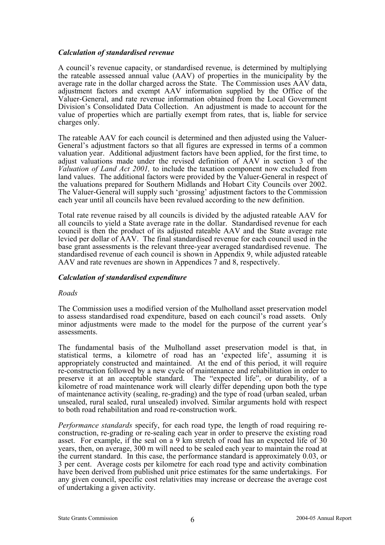#### *Calculation of standardised revenue*

A council's revenue capacity, or standardised revenue, is determined by multiplying the rateable assessed annual value (AAV) of properties in the municipality by the average rate in the dollar charged across the State. The Commission uses AAV data, adjustment factors and exempt AAV information supplied by the Office of the Valuer-General, and rate revenue information obtained from the Local Government Division's Consolidated Data Collection. An adjustment is made to account for the value of properties which are partially exempt from rates, that is, liable for service charges only.

The rateable AAV for each council is determined and then adjusted using the Valuer-General's adjustment factors so that all figures are expressed in terms of a common valuation year. Additional adjustment factors have been applied, for the first time, to adjust valuations made under the revised definition of AAV in section 3 of the *Valuation of Land Act 2001,* to include the taxation component now excluded from land values. The additional factors were provided by the Valuer-General in respect of the valuations prepared for Southern Midlands and Hobart City Councils over 2002. The Valuer-General will supply such 'grossing' adjustment factors to the Commission each year until all councils have been revalued according to the new definition.

Total rate revenue raised by all councils is divided by the adjusted rateable AAV for all councils to yield a State average rate in the dollar. Standardised revenue for each council is then the product of its adjusted rateable AAV and the State average rate levied per dollar of AAV. The final standardised revenue for each council used in the base grant assessments is the relevant three-year averaged standardised revenue. The standardised revenue of each council is shown in Appendix 9, while adjusted rateable AAV and rate revenues are shown in Appendices 7 and 8, respectively.

### *Calculation of standardised expenditure*

#### *Roads*

The Commission uses a modified version of the Mulholland asset preservation model to assess standardised road expenditure, based on each council's road assets. Only minor adjustments were made to the model for the purpose of the current year's assessments.

The fundamental basis of the Mulholland asset preservation model is that, in statistical terms, a kilometre of road has an 'expected life', assuming it is appropriately constructed and maintained. At the end of this period, it will require re-construction followed by a new cycle of maintenance and rehabilitation in order to preserve it at an acceptable standard. The "expected life", or durability, of a kilometre of road maintenance work will clearly differ depending upon both the type of maintenance activity (sealing, re-grading) and the type of road (urban sealed, urban unsealed, rural sealed, rural unsealed) involved. Similar arguments hold with respect to both road rehabilitation and road re-construction work.

*Performance standards* specify, for each road type, the length of road requiring reconstruction, re-grading or re-sealing each year in order to preserve the existing road asset. For example, if the seal on a 9 km stretch of road has an expected life of 30 years, then, on average, 300 m will need to be sealed each year to maintain the road at the current standard. In this case, the performance standard is approximately 0.03, or 3 per cent. Average costs per kilometre for each road type and activity combination have been derived from published unit price estimates for the same undertakings. For any given council, specific cost relativities may increase or decrease the average cost of undertaking a given activity.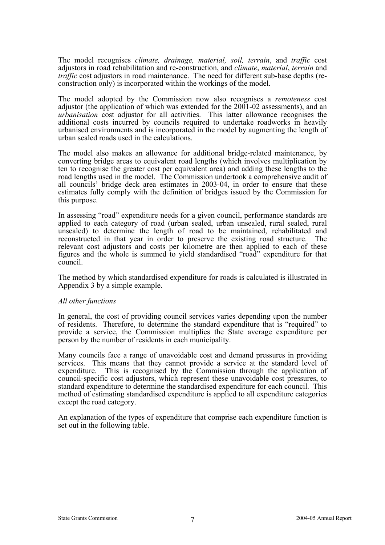The model recognises *climate, drainage, material, soil, terrain*, and *traffic* cost adjustors in road rehabilitation and re-construction, and *climate*, *material*, *terrain* and *traffic* cost adjustors in road maintenance. The need for different sub-base depths (reconstruction only) is incorporated within the workings of the model.

The model adopted by the Commission now also recognises a *remoteness* cost adjustor (the application of which was extended for the 2001-02 assessments), and an *urbanisation* cost adjustor for all activities. This latter allowance recognises the additional costs incurred by councils required to undertake roadworks in heavily urbanised environments and is incorporated in the model by augmenting the length of urban sealed roads used in the calculations.

The model also makes an allowance for additional bridge-related maintenance, by converting bridge areas to equivalent road lengths (which involves multiplication by ten to recognise the greater cost per equivalent area) and adding these lengths to the road lengths used in the model. The Commission undertook a comprehensive audit of all councils' bridge deck area estimates in 2003-04, in order to ensure that these estimates fully comply with the definition of bridges issued by the Commission for this purpose.

In assessing "road" expenditure needs for a given council, performance standards are applied to each category of road (urban sealed, urban unsealed, rural sealed, rural unsealed) to determine the length of road to be maintained, rehabilitated and reconstructed in that year in order to preserve the existing road structure. The relevant cost adjustors and costs per kilometre are then applied to each of these figures and the whole is summed to yield standardised "road" expenditure for that council.

The method by which standardised expenditure for roads is calculated is illustrated in Appendix 3 by a simple example.

#### *All other functions*

In general, the cost of providing council services varies depending upon the number of residents. Therefore, to determine the standard expenditure that is "required" to provide a service, the Commission multiplies the State average expenditure per person by the number of residents in each municipality.

Many councils face a range of unavoidable cost and demand pressures in providing services. This means that they cannot provide a service at the standard level of expenditure. This is recognised by the Commission through the application of council-specific cost adjustors, which represent these unavoidable cost pressures, to standard expenditure to determine the standardised expenditure for each council. This method of estimating standardised expenditure is applied to all expenditure categories except the road category.

An explanation of the types of expenditure that comprise each expenditure function is set out in the following table.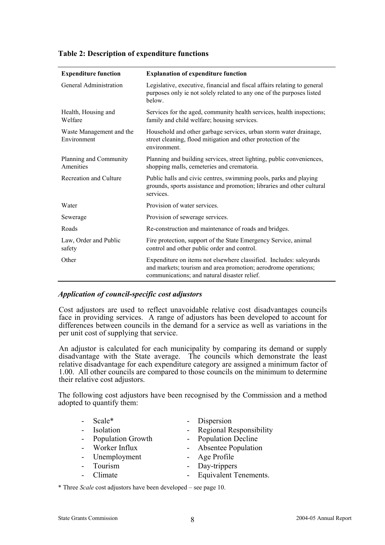| <b>Expenditure function</b>             | <b>Explanation of expenditure function</b>                                                                                                                                           |  |
|-----------------------------------------|--------------------------------------------------------------------------------------------------------------------------------------------------------------------------------------|--|
| General Administration                  | Legislative, executive, financial and fiscal affairs relating to general<br>purposes only ie not solely related to any one of the purposes listed<br>below.                          |  |
| Health, Housing and<br>Welfare          | Services for the aged, community health services, health inspections;<br>family and child welfare; housing services.                                                                 |  |
| Waste Management and the<br>Environment | Household and other garbage services, urban storm water drainage,<br>street cleaning, flood mitigation and other protection of the<br>environment                                    |  |
| Planning and Community<br>Amenities     | Planning and building services, street lighting, public conveniences,<br>shopping malls, cemeteries and crematoria.                                                                  |  |
| Recreation and Culture                  | Public halls and civic centres, swimming pools, parks and playing<br>grounds, sports assistance and promotion; libraries and other cultural<br>services.                             |  |
| Water                                   | Provision of water services.                                                                                                                                                         |  |
| Sewerage                                | Provision of sewerage services.                                                                                                                                                      |  |
| Roads                                   | Re-construction and maintenance of roads and bridges.                                                                                                                                |  |
| Law, Order and Public<br>safety         | Fire protection, support of the State Emergency Service, animal<br>control and other public order and control.                                                                       |  |
| Other                                   | Expenditure on items not elsewhere classified. Includes: saleyards<br>and markets; tourism and area promotion; aerodrome operations;<br>communications; and natural disaster relief. |  |

### **Table 2: Description of expenditure functions**

### *Application of council-specific cost adjustors*

Cost adjustors are used to reflect unavoidable relative cost disadvantages councils face in providing services. A range of adjustors has been developed to account for differences between councils in the demand for a service as well as variations in the per unit cost of supplying that service.

An adjustor is calculated for each municipality by comparing its demand or supply disadvantage with the State average. The councils which demonstrate the least relative disadvantage for each expenditure category are assigned a minimum factor of 1.00. All other councils are compared to those councils on the minimum to determine their relative cost adjustors.

The following cost adjustors have been recognised by the Commission and a method adopted to quantify them:

| Scale*              | - Dispersion              |
|---------------------|---------------------------|
| - Isolation         | - Regional Responsibility |
| - Population Growth | - Population Decline      |
| - Worker Influx     | - Absentee Population     |
| - Unemployment      | - Age Profile             |
| Tourism             | - Day-trippers            |
| - Climate           | - Equivalent Tenements.   |
|                     |                           |

\* Three *Scale* cost adjustors have been developed – see page 10.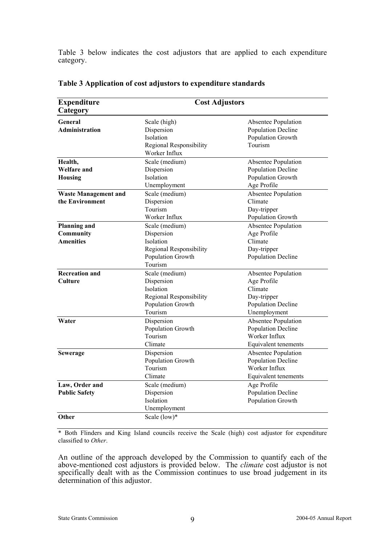Table 3 below indicates the cost adjustors that are applied to each expenditure category.

| <b>Expenditure</b><br>Category                                                                                                                               | <b>Cost Adjustors</b>                                                                                                                                                                                             |                                                                                           |  |
|--------------------------------------------------------------------------------------------------------------------------------------------------------------|-------------------------------------------------------------------------------------------------------------------------------------------------------------------------------------------------------------------|-------------------------------------------------------------------------------------------|--|
| General<br>Administration                                                                                                                                    | Scale (high)<br>Dispersion<br>Isolation<br>Regional Responsibility                                                                                                                                                | Absentee Population<br><b>Population Decline</b><br>Population Growth<br>Tourism          |  |
| Health,<br><b>Welfare and</b><br><b>Housing</b>                                                                                                              | Worker Influx<br>Scale (medium)<br>Absentee Population<br><b>Population Decline</b><br>Dispersion<br>Isolation<br>Population Growth                                                                               |                                                                                           |  |
| <b>Waste Management and</b><br>the Environment                                                                                                               | Unemployment<br>Scale (medium)<br>Dispersion<br>Tourism<br>Worker Influx                                                                                                                                          | Age Profile<br>Absentee Population<br>Climate<br>Day-tripper<br>Population Growth         |  |
| <b>Planning and</b><br>Scale (medium)<br>Community<br>Dispersion<br><b>Amenities</b><br>Isolation<br>Regional Responsibility<br>Population Growth<br>Tourism |                                                                                                                                                                                                                   | Absentee Population<br>Age Profile<br>Climate<br>Day-tripper<br>Population Decline        |  |
| <b>Recreation and</b><br>Culture                                                                                                                             | Scale (medium)<br>Absentee Population<br>Dispersion<br>Age Profile<br>Climate<br>Isolation<br>Day-tripper<br>Regional Responsibility<br>Population Growth<br><b>Population Decline</b><br>Tourism<br>Unemployment |                                                                                           |  |
| Water<br>Dispersion<br>Population Growth<br>Tourism<br>Climate                                                                                               |                                                                                                                                                                                                                   | Absentee Population<br><b>Population Decline</b><br>Worker Influx<br>Equivalent tenements |  |
| <b>Sewerage</b>                                                                                                                                              | Dispersion<br>Absentee Population<br>Population Growth<br><b>Population Decline</b><br>Tourism<br>Worker Influx<br>Climate<br>Equivalent tenements                                                                |                                                                                           |  |
| Law, Order and<br><b>Public Safety</b>                                                                                                                       | Scale (medium)<br>Age Profile<br>Dispersion<br><b>Population Decline</b><br>Isolation<br>Population Growth<br>Unemployment                                                                                        |                                                                                           |  |
| Other                                                                                                                                                        | Scale (low)*                                                                                                                                                                                                      |                                                                                           |  |

### **Table 3 Application of cost adjustors to expenditure standards**

\* Both Flinders and King Island councils receive the Scale (high) cost adjustor for expenditure classified to *Other*.

An outline of the approach developed by the Commission to quantify each of the above-mentioned cost adjustors is provided below. The *climate* cost adjustor is not specifically dealt with as the Commission continues to use broad judgement in its determination of this adjustor.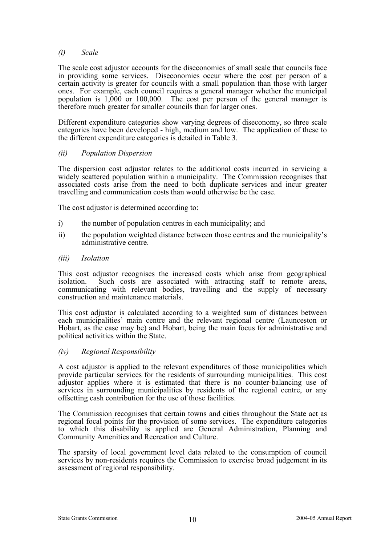#### *(i) Scale*

The scale cost adjustor accounts for the diseconomies of small scale that councils face in providing some services. Diseconomies occur where the cost per person of a certain activity is greater for councils with a small population than those with larger ones. For example, each council requires a general manager whether the municipal population is 1,000 or 100,000. The cost per person of the general manager is therefore much greater for smaller councils than for larger ones.

Different expenditure categories show varying degrees of diseconomy, so three scale categories have been developed - high, medium and low. The application of these to the different expenditure categories is detailed in Table 3.

#### *(ii) Population Dispersion*

The dispersion cost adjustor relates to the additional costs incurred in servicing a widely scattered population within a municipality. The Commission recognises that associated costs arise from the need to both duplicate services and incur greater travelling and communication costs than would otherwise be the case.

The cost adjustor is determined according to:

- i) the number of population centres in each municipality; and
- ii) the population weighted distance between those centres and the municipality's administrative centre.
- *(iii) Isolation*

This cost adjustor recognises the increased costs which arise from geographical isolation. Such costs are associated with attracting staff to remote areas, communicating with relevant bodies, travelling and the supply of necessary construction and maintenance materials.

This cost adjustor is calculated according to a weighted sum of distances between each municipalities' main centre and the relevant regional centre (Launceston or Hobart, as the case may be) and Hobart, being the main focus for administrative and political activities within the State.

#### *(iv) Regional Responsibility*

A cost adjustor is applied to the relevant expenditures of those municipalities which provide particular services for the residents of surrounding municipalities. This cost adjustor applies where it is estimated that there is no counter-balancing use of services in surrounding municipalities by residents of the regional centre, or any offsetting cash contribution for the use of those facilities.

The Commission recognises that certain towns and cities throughout the State act as regional focal points for the provision of some services. The expenditure categories to which this disability is applied are General Administration, Planning and Community Amenities and Recreation and Culture.

The sparsity of local government level data related to the consumption of council services by non-residents requires the Commission to exercise broad judgement in its assessment of regional responsibility.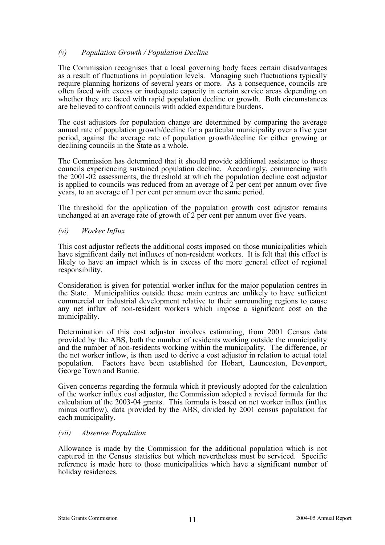### *(v) Population Growth / Population Decline*

The Commission recognises that a local governing body faces certain disadvantages as a result of fluctuations in population levels. Managing such fluctuations typically require planning horizons of several years or more. As a consequence, councils are often faced with excess or inadequate capacity in certain service areas depending on whether they are faced with rapid population decline or growth. Both circumstances are believed to confront councils with added expenditure burdens.

The cost adjustors for population change are determined by comparing the average annual rate of population growth/decline for a particular municipality over a five year period, against the average rate of population growth/decline for either growing or declining councils in the State as a whole.

The Commission has determined that it should provide additional assistance to those councils experiencing sustained population decline. Accordingly, commencing with the 2001-02 assessments, the threshold at which the population decline cost adjustor is applied to councils was reduced from an average of  $2$  per cent per annum over five years, to an average of 1 per cent per annum over the same period.

The threshold for the application of the population growth cost adjustor remains unchanged at an average rate of growth of 2 per cent per annum over five years.

#### *(vi) Worker Influx*

This cost adjustor reflects the additional costs imposed on those municipalities which have significant daily net influxes of non-resident workers. It is felt that this effect is likely to have an impact which is in excess of the more general effect of regional responsibility.

Consideration is given for potential worker influx for the major population centres in the State. Municipalities outside these main centres are unlikely to have sufficient commercial or industrial development relative to their surrounding regions to cause any net influx of non-resident workers which impose a significant cost on the municipality.

Determination of this cost adjustor involves estimating, from 2001 Census data provided by the ABS, both the number of residents working outside the municipality and the number of non-residents working within the municipality. The difference, or the net worker inflow, is then used to derive a cost adjustor in relation to actual total population. Factors have been established for Hobart, Launceston, Devonport, George Town and Burnie.

Given concerns regarding the formula which it previously adopted for the calculation of the worker influx cost adjustor, the Commission adopted a revised formula for the calculation of the 2003-04 grants. This formula is based on net worker influx (influx minus outflow), data provided by the ABS, divided by 2001 census population for each municipality.

#### *(vii) Absentee Population*

Allowance is made by the Commission for the additional population which is not captured in the Census statistics but which nevertheless must be serviced. Specific reference is made here to those municipalities which have a significant number of holiday residences.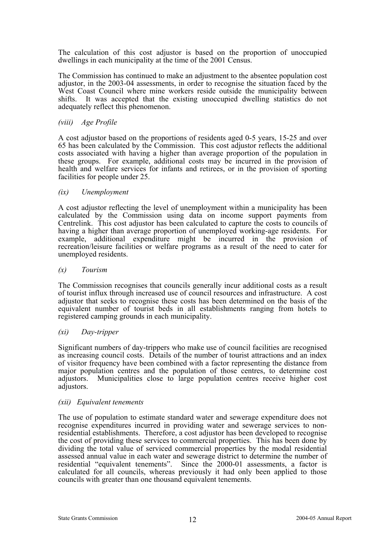The calculation of this cost adjustor is based on the proportion of unoccupied dwellings in each municipality at the time of the 2001 Census.

The Commission has continued to make an adjustment to the absentee population cost adjustor, in the 2003-04 assessments, in order to recognise the situation faced by the West Coast Council where mine workers reside outside the municipality between shifts. It was accepted that the existing unoccupied dwelling statistics do not adequately reflect this phenomenon.

#### *(viii) Age Profile*

A cost adjustor based on the proportions of residents aged 0-5 years, 15-25 and over 65 has been calculated by the Commission. This cost adjustor reflects the additional costs associated with having a higher than average proportion of the population in these groups. For example, additional costs may be incurred in the provision of health and welfare services for infants and retirees, or in the provision of sporting facilities for people under 25.

#### *(ix) Unemployment*

A cost adjustor reflecting the level of unemployment within a municipality has been calculated by the Commission using data on income support payments from Centrelink. This cost adjustor has been calculated to capture the costs to councils of having a higher than average proportion of unemployed working-age residents. For example, additional expenditure might be incurred in the provision of recreation/leisure facilities or welfare programs as a result of the need to cater for unemployed residents.

#### *(x) Tourism*

The Commission recognises that councils generally incur additional costs as a result of tourist influx through increased use of council resources and infrastructure. A cost adjustor that seeks to recognise these costs has been determined on the basis of the equivalent number of tourist beds in all establishments ranging from hotels to registered camping grounds in each municipality.

#### *(xi) Day-tripper*

Significant numbers of day-trippers who make use of council facilities are recognised as increasing council costs. Details of the number of tourist attractions and an index of visitor frequency have been combined with a factor representing the distance from major population centres and the population of those centres, to determine cost adjustors. Municipalities close to large population centres receive higher cost adjustors.

#### *(xii) Equivalent tenements*

The use of population to estimate standard water and sewerage expenditure does not recognise expenditures incurred in providing water and sewerage services to nonresidential establishments. Therefore, a cost adjustor has been developed to recognise the cost of providing these services to commercial properties. This has been done by dividing the total value of serviced commercial properties by the modal residential assessed annual value in each water and sewerage district to determine the number of residential "equivalent tenements". Since the 2000-01 assessments, a factor is calculated for all councils, whereas previously it had only been applied to those councils with greater than one thousand equivalent tenements.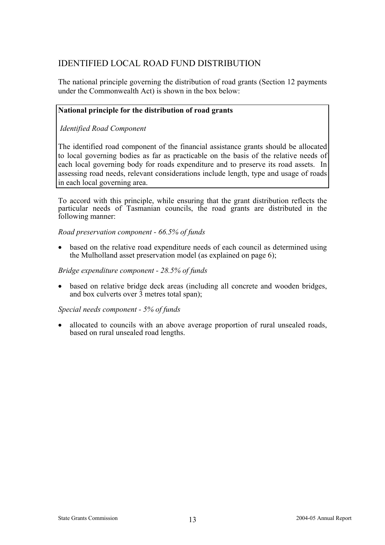### IDENTIFIED LOCAL ROAD FUND DISTRIBUTION

The national principle governing the distribution of road grants (Section 12 payments under the Commonwealth Act) is shown in the box below:

### **National principle for the distribution of road grants**

 *Identified Road Component* 

The identified road component of the financial assistance grants should be allocated to local governing bodies as far as practicable on the basis of the relative needs of each local governing body for roads expenditure and to preserve its road assets. In assessing road needs, relevant considerations include length, type and usage of roads in each local governing area.

To accord with this principle, while ensuring that the grant distribution reflects the particular needs of Tasmanian councils, the road grants are distributed in the following manner:

*Road preservation component - 66.5% of funds* 

• based on the relative road expenditure needs of each council as determined using the Mulholland asset preservation model (as explained on page 6);

### *Bridge expenditure component - 28.5% of funds*

• based on relative bridge deck areas (including all concrete and wooden bridges, and box culverts over  $\overline{3}$  metres total span);

*Special needs component - 5% of funds* 

• allocated to councils with an above average proportion of rural unsealed roads, based on rural unsealed road lengths.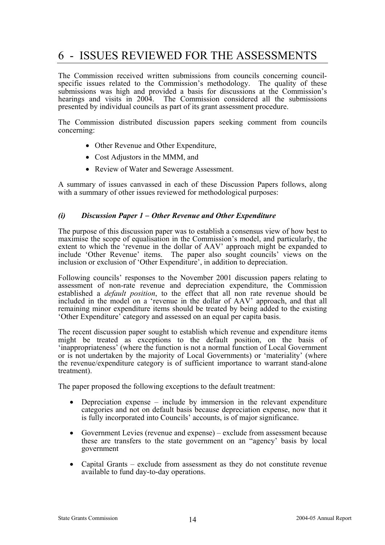# 6 - ISSUES REVIEWED FOR THE ASSESSMENTS

The Commission received written submissions from councils concerning councilspecific issues related to the Commission's methodology. The quality of these submissions was high and provided a basis for discussions at the Commission's hearings and visits in 2004. The Commission considered all the submissions presented by individual councils as part of its grant assessment procedure.

The Commission distributed discussion papers seeking comment from councils concerning:

- Other Revenue and Other Expenditure,
- Cost Adjustors in the MMM, and
- Review of Water and Sewerage Assessment.

A summary of issues canvassed in each of these Discussion Papers follows, along with a summary of other issues reviewed for methodological purposes:

### *(i) Discussion Paper 1 – Other Revenue and Other Expenditure*

The purpose of this discussion paper was to establish a consensus view of how best to maximise the scope of equalisation in the Commission's model, and particularly, the extent to which the 'revenue in the dollar of AAV' approach might be expanded to include 'Other Revenue' items. The paper also sought councils' views on the inclusion or exclusion of 'Other Expenditure', in addition to depreciation.

Following councils' responses to the November 2001 discussion papers relating to assessment of non-rate revenue and depreciation expenditure, the Commission established a *default position*, to the effect that all non rate revenue should be included in the model on a 'revenue in the dollar of AAV' approach, and that all remaining minor expenditure items should be treated by being added to the existing 'Other Expenditure' category and assessed on an equal per capita basis.

The recent discussion paper sought to establish which revenue and expenditure items might be treated as exceptions to the default position, on the basis of 'inappropriateness' (where the function is not a normal function of Local Government or is not undertaken by the majority of Local Governments) or 'materiality' (where the revenue/expenditure category is of sufficient importance to warrant stand-alone treatment).

The paper proposed the following exceptions to the default treatment:

- Depreciation expense  $-$  include by immersion in the relevant expenditure categories and not on default basis because depreciation expense, now that it is fully incorporated into Councils' accounts, is of major significance.
- Government Levies (revenue and expense) exclude from assessment because these are transfers to the state government on an "agency' basis by local government
- Capital Grants exclude from assessment as they do not constitute revenue available to fund day-to-day operations.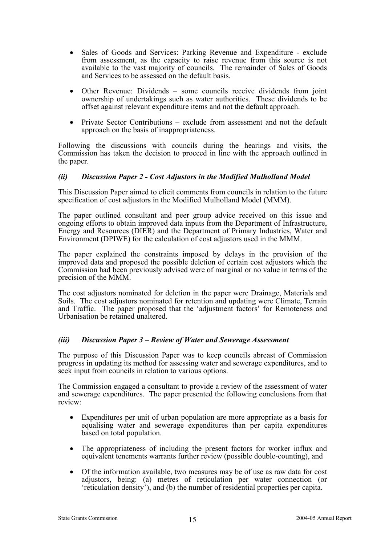- Sales of Goods and Services: Parking Revenue and Expenditure exclude from assessment, as the capacity to raise revenue from this source is not available to the vast majority of councils. The remainder of Sales of Goods and Services to be assessed on the default basis.
- Other Revenue: Dividends some councils receive dividends from joint ownership of undertakings such as water authorities. These dividends to be offset against relevant expenditure items and not the default approach.
- Private Sector Contributions exclude from assessment and not the default approach on the basis of inappropriateness.

Following the discussions with councils during the hearings and visits, the Commission has taken the decision to proceed in line with the approach outlined in the paper.

### *(ii) Discussion Paper 2 - Cost Adjustors in the Modified Mulholland Model*

This Discussion Paper aimed to elicit comments from councils in relation to the future specification of cost adjustors in the Modified Mulholland Model (MMM).

The paper outlined consultant and peer group advice received on this issue and ongoing efforts to obtain improved data inputs from the Department of Infrastructure, Energy and Resources (DIER) and the Department of Primary Industries, Water and Environment (DPIWE) for the calculation of cost adjustors used in the MMM.

The paper explained the constraints imposed by delays in the provision of the improved data and proposed the possible deletion of certain cost adjustors which the Commission had been previously advised were of marginal or no value in terms of the precision of the MMM.

The cost adjustors nominated for deletion in the paper were Drainage, Materials and Soils. The cost adjustors nominated for retention and updating were Climate, Terrain and Traffic. The paper proposed that the 'adjustment factors' for Remoteness and Urbanisation be retained unaltered.

### *(iii) Discussion Paper 3 – Review of Water and Sewerage Assessment*

The purpose of this Discussion Paper was to keep councils abreast of Commission progress in updating its method for assessing water and sewerage expenditures, and to seek input from councils in relation to various options.

The Commission engaged a consultant to provide a review of the assessment of water and sewerage expenditures. The paper presented the following conclusions from that review:

- Expenditures per unit of urban population are more appropriate as a basis for equalising water and sewerage expenditures than per capita expenditures based on total population.
- The appropriateness of including the present factors for worker influx and equivalent tenements warrants further review (possible double-counting), and
- Of the information available, two measures may be of use as raw data for cost adjustors, being: (a) metres of reticulation per water connection (or 'reticulation density'), and (b) the number of residential properties per capita.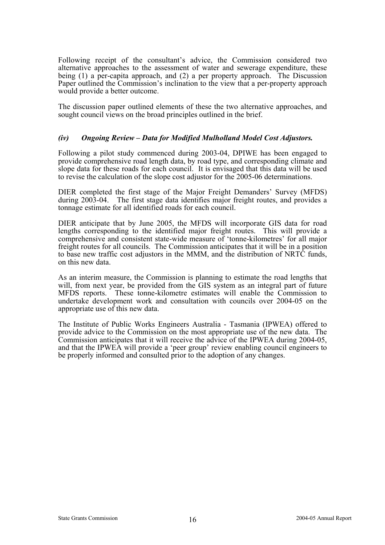Following receipt of the consultant's advice, the Commission considered two alternative approaches to the assessment of water and sewerage expenditure, these being  $(1)$  a per-capita approach, and  $(2)$  a per property approach. The Discussion Paper outlined the Commission's inclination to the view that a per-property approach would provide a better outcome.

The discussion paper outlined elements of these the two alternative approaches, and sought council views on the broad principles outlined in the brief.

### *(iv) Ongoing Review – Data for Modified Mulholland Model Cost Adjustors.*

Following a pilot study commenced during 2003-04, DPIWE has been engaged to provide comprehensive road length data, by road type, and corresponding climate and slope data for these roads for each council. It is envisaged that this data will be used to revise the calculation of the slope cost adjustor for the 2005-06 determinations.

DIER completed the first stage of the Major Freight Demanders' Survey (MFDS) during 2003-04. The first stage data identifies major freight routes, and provides a tonnage estimate for all identified roads for each council.

DIER anticipate that by June 2005, the MFDS will incorporate GIS data for road lengths corresponding to the identified major freight routes. This will provide a comprehensive and consistent state-wide measure of 'tonne-kilometres' for all major freight routes for all councils. The Commission anticipates that it will be in a position to base new traffic cost adjustors in the MMM, and the distribution of NRTC funds, on this new data.

As an interim measure, the Commission is planning to estimate the road lengths that will, from next year, be provided from the GIS system as an integral part of future MFDS reports. These tonne-kilometre estimates will enable the Commission to undertake development work and consultation with councils over 2004-05 on the appropriate use of this new data.

The Institute of Public Works Engineers Australia - Tasmania (IPWEA) offered to provide advice to the Commission on the most appropriate use of the new data. The Commission anticipates that it will receive the advice of the IPWEA during 2004-05, and that the IPWEA will provide a 'peer group' review enabling council engineers to be properly informed and consulted prior to the adoption of any changes.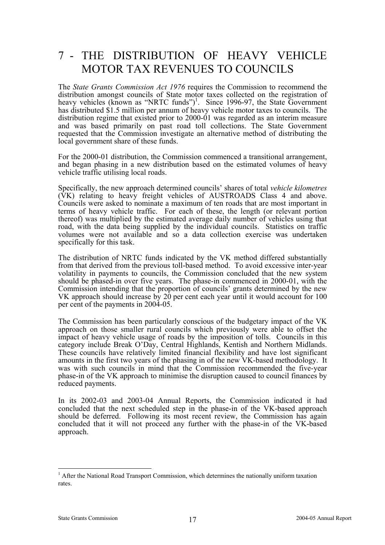# 7 - THE DISTRIBUTION OF HEAVY VEHICLE MOTOR TAX REVENUES TO COUNCILS

The *State Grants Commission Act 1976* requires the Commission to recommend the distribution amongst councils of State motor taxes collected on the registration of heavy vehicles (known as "NRTC funds")<sup>1</sup>. Since 1996-97, the State Government has distributed \$1.5 million per annum of heavy vehicle motor taxes to councils. The distribution regime that existed prior to 2000-01 was regarded as an interim measure and was based primarily on past road toll collections. The State Government requested that the Commission investigate an alternative method of distributing the local government share of these funds.

For the 2000-01 distribution, the Commission commenced a transitional arrangement, and began phasing in a new distribution based on the estimated volumes of heavy vehicle traffic utilising local roads.

Specifically, the new approach determined councils' shares of total *vehicle kilometres* (VK) relating to heavy freight vehicles of AUSTROADS Class 4 and above. Councils were asked to nominate a maximum of ten roads that are most important in terms of heavy vehicle traffic. For each of these, the length (or relevant portion thereof) was multiplied by the estimated average daily number of vehicles using that road, with the data being supplied by the individual councils. Statistics on traffic volumes were not available and so a data collection exercise was undertaken specifically for this task.

The distribution of NRTC funds indicated by the VK method differed substantially from that derived from the previous toll-based method. To avoid excessive inter-year volatility in payments to councils, the Commission concluded that the new system should be phased-in over five years. The phase-in commenced in 2000-01, with the Commission intending that the proportion of councils' grants determined by the new VK approach should increase by 20 per cent each year until it would account for 100 per cent of the payments in 2004-05.

The Commission has been particularly conscious of the budgetary impact of the VK approach on those smaller rural councils which previously were able to offset the impact of heavy vehicle usage of roads by the imposition of tolls. Councils in this category include Break O'Day, Central Highlands, Kentish and Northern Midlands. These councils have relatively limited financial flexibility and have lost significant amounts in the first two years of the phasing in of the new VK-based methodology. It was with such councils in mind that the Commission recommended the five-year phase-in of the VK approach to minimise the disruption caused to council finances by reduced payments.

In its 2002-03 and 2003-04 Annual Reports, the Commission indicated it had concluded that the next scheduled step in the phase-in of the VK-based approach should be deferred. Following its most recent review, the Commission has again concluded that it will not proceed any further with the phase-in of the VK-based approach.

l

<sup>&</sup>lt;sup>1</sup> After the National Road Transport Commission, which determines the nationally uniform taxation rates.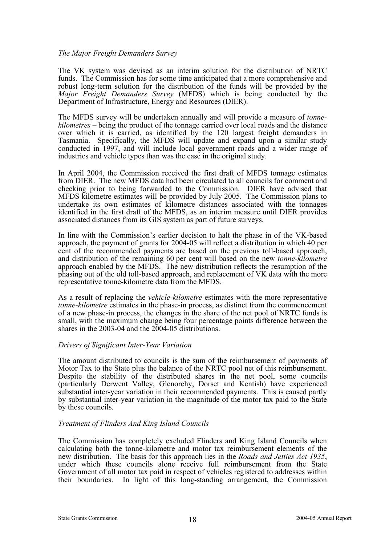#### *The Major Freight Demanders Survey*

The VK system was devised as an interim solution for the distribution of NRTC funds. The Commission has for some time anticipated that a more comprehensive and robust long-term solution for the distribution of the funds will be provided by the *Major Freight Demanders Survey* (MFDS) which is being conducted by the Department of Infrastructure, Energy and Resources (DIER).

The MFDS survey will be undertaken annually and will provide a measure of *tonnekilometres* – being the product of the tonnage carried over local roads and the distance over which it is carried, as identified by the 120 largest freight demanders in Tasmania. Specifically, the MFDS will update and expand upon a similar study conducted in 1997, and will include local government roads and a wider range of industries and vehicle types than was the case in the original study.

In April 2004, the Commission received the first draft of MFDS tonnage estimates from DIER. The new MFDS data had been circulated to all councils for comment and checking prior to being forwarded to the Commission. DIER have advised that MFDS kilometre estimates will be provided by July 2005. The Commission plans to undertake its own estimates of kilometre distances associated with the tonnages identified in the first draft of the MFDS, as an interim measure until DIER provides associated distances from its GIS system as part of future surveys.

In line with the Commission's earlier decision to halt the phase in of the VK-based approach, the payment of grants for 2004-05 will reflect a distribution in which 40 per cent of the recommended payments are based on the previous toll-based approach, and distribution of the remaining 60 per cent will based on the new *tonne-kilometre* approach enabled by the MFDS. The new distribution reflects the resumption of the phasing out of the old toll-based approach, and replacement of VK data with the more representative tonne-kilometre data from the MFDS.

As a result of replacing the *vehicle-kilometre* estimates with the more representative *tonne-kilometre* estimates in the phase-in process, as distinct from the commencement of a new phase-in process, the changes in the share of the net pool of NRTC funds is small, with the maximum change being four percentage points difference between the shares in the 2003-04 and the 2004-05 distributions.

#### *Drivers of Significant Inter-Year Variation*

The amount distributed to councils is the sum of the reimbursement of payments of Motor Tax to the State plus the balance of the NRTC pool net of this reimbursement. Despite the stability of the distributed shares in the net pool, some councils (particularly Derwent Valley, Glenorchy, Dorset and Kentish) have experienced substantial inter-year variation in their recommended payments. This is caused partly by substantial inter-year variation in the magnitude of the motor tax paid to the State by these councils.

### *Treatment of Flinders And King Island Councils*

The Commission has completely excluded Flinders and King Island Councils when calculating both the tonne-kilometre and motor tax reimbursement elements of the new distribution. The basis for this approach lies in the *Roads and Jetties Act 1935*, under which these councils alone receive full reimbursement from the State Government of all motor tax paid in respect of vehicles registered to addresses within their boundaries. In light of this long-standing arrangement, the Commission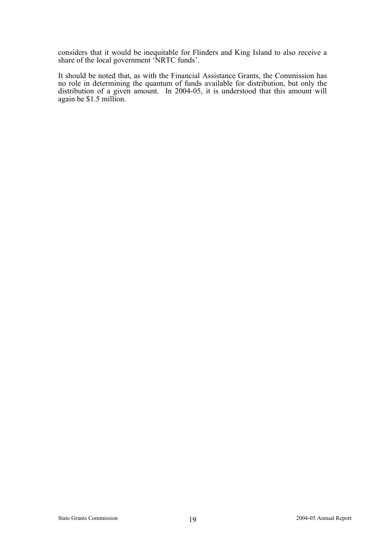considers that it would be inequitable for Flinders and King Island to also receive a share of the local government 'NRTC funds'.

It should be noted that, as with the Financial Assistance Grants, the Commission has no role in determining the quantum of funds available for distribution, but only the distribution of a given amount. In 2004-05, it is understood that this amount will again be \$1.5 million.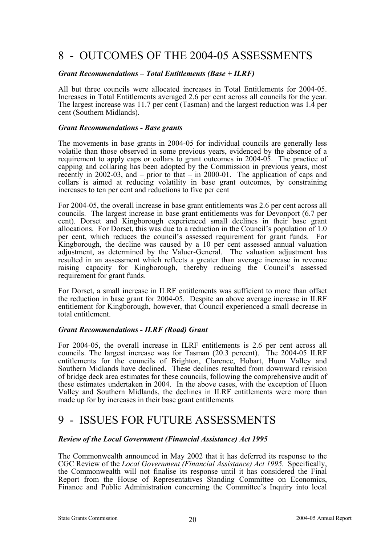# 8 - OUTCOMES OF THE 2004-05 ASSESSMENTS

#### *Grant Recommendations – Total Entitlements (Base + ILRF)*

All but three councils were allocated increases in Total Entitlements for 2004-05. Increases in Total Entitlements averaged 2.6 per cent across all councils for the year. The largest increase was 11.7 per cent (Tasman) and the largest reduction was 1.4 per cent (Southern Midlands).

#### *Grant Recommendations - Base grants*

The movements in base grants in 2004-05 for individual councils are generally less volatile than those observed in some previous years, evidenced by the absence of a requirement to apply caps or collars to grant outcomes in 2004-05. The practice of capping and collaring has been adopted by the Commission in previous years, most recently in 2002-03, and – prior to that – in 2000-01. The application of caps and collars is aimed at reducing volatility in base grant outcomes, by constraining increases to ten per cent and reductions to five per cent

For 2004-05, the overall increase in base grant entitlements was 2.6 per cent across all councils. The largest increase in base grant entitlements was for Devonport (6.7 per cent). Dorset and Kingborough experienced small declines in their base grant allocations. For Dorset, this was due to a reduction in the Council's population of 1.0 per cent, which reduces the council's assessed requirement for grant funds. For Kingborough, the decline was caused by a 10 per cent assessed annual valuation adjustment, as determined by the Valuer-General. The valuation adjustment has resulted in an assessment which reflects a greater than average increase in revenue raising capacity for Kingborough, thereby reducing the Council's assessed requirement for grant funds.

For Dorset, a small increase in ILRF entitlements was sufficient to more than offset the reduction in base grant for 2004-05. Despite an above average increase in ILRF entitlement for Kingborough, however, that Council experienced a small decrease in total entitlement.

### *Grant Recommendations - ILRF (Road) Grant*

For 2004-05, the overall increase in ILRF entitlements is 2.6 per cent across all councils. The largest increase was for Tasman (20.3 percent). The 2004-05 ILRF entitlements for the councils of Brighton, Clarence, Hobart, Huon Valley and Southern Midlands have declined. These declines resulted from downward revision of bridge deck area estimates for these councils, following the comprehensive audit of these estimates undertaken in 2004. In the above cases, with the exception of Huon Valley and Southern Midlands, the declines in ILRF entitlements were more than made up for by increases in their base grant entitlements

# 9 - ISSUES FOR FUTURE ASSESSMENTS

### *Review of the Local Government (Financial Assistance) Act 1995*

The Commonwealth announced in May 2002 that it has deferred its response to the CGC Review of the *Local Government (Financial Assistance) Act 1995*. Specifically, the Commonwealth will not finalise its response until it has considered the Final Report from the House of Representatives Standing Committee on Economics, Finance and Public Administration concerning the Committee's Inquiry into local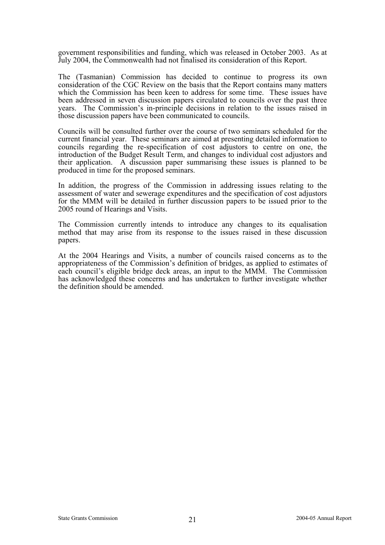government responsibilities and funding, which was released in October 2003. As at July 2004, the Commonwealth had not finalised its consideration of this Report.

The (Tasmanian) Commission has decided to continue to progress its own consideration of the CGC Review on the basis that the Report contains many matters which the Commission has been keen to address for some time. These issues have been addressed in seven discussion papers circulated to councils over the past three years. The Commission's in-principle decisions in relation to the issues raised in those discussion papers have been communicated to councils.

Councils will be consulted further over the course of two seminars scheduled for the current financial year. These seminars are aimed at presenting detailed information to councils regarding the re-specification of cost adjustors to centre on one, the introduction of the Budget Result Term, and changes to individual cost adjustors and their application. A discussion paper summarising these issues is planned to be produced in time for the proposed seminars.

In addition, the progress of the Commission in addressing issues relating to the assessment of water and sewerage expenditures and the specification of cost adjustors for the MMM will be detailed in further discussion papers to be issued prior to the 2005 round of Hearings and Visits.

The Commission currently intends to introduce any changes to its equalisation method that may arise from its response to the issues raised in these discussion papers.

At the 2004 Hearings and Visits, a number of councils raised concerns as to the appropriateness of the Commission's definition of bridges, as applied to estimates of each council's eligible bridge deck areas, an input to the MMM. The Commission has acknowledged these concerns and has undertaken to further investigate whether the definition should be amended.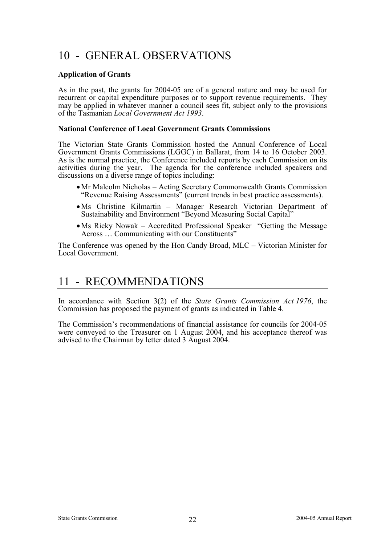# 10 - GENERAL OBSERVATIONS

#### **Application of Grants**

As in the past, the grants for 2004-05 are of a general nature and may be used for recurrent or capital expenditure purposes or to support revenue requirements. They may be applied in whatever manner a council sees fit, subject only to the provisions of the Tasmanian *Local Government Act 1993*.

#### **National Conference of Local Government Grants Commissions**

The Victorian State Grants Commission hosted the Annual Conference of Local Government Grants Commissions (LGGC) in Ballarat, from 14 to 16 October 2003. As is the normal practice, the Conference included reports by each Commission on its activities during the year. The agenda for the conference included speakers and discussions on a diverse range of topics including:

- Mr Malcolm Nicholas Acting Secretary Commonwealth Grants Commission "Revenue Raising Assessments" (current trends in best practice assessments).
- Ms Christine Kilmartin Manager Research Victorian Department of Sustainability and Environment "Beyond Measuring Social Capital"
- Ms Ricky Nowak Accredited Professional Speaker "Getting the Message Across … Communicating with our Constituents"

The Conference was opened by the Hon Candy Broad, MLC – Victorian Minister for Local Government.

# 11 - RECOMMENDATIONS

In accordance with Section 3(2) of the *State Grants Commission Act 1976*, the Commission has proposed the payment of grants as indicated in Table 4.

The Commission's recommendations of financial assistance for councils for 2004-05 were conveyed to the Treasurer on 1 August 2004, and his acceptance thereof was advised to the Chairman by letter dated 3 August 2004.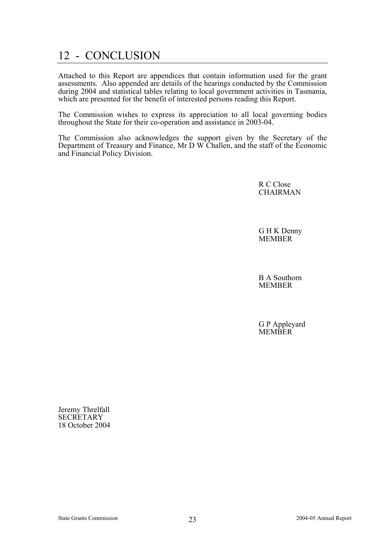# 12 - CONCLUSION

Attached to this Report are appendices that contain information used for the grant assessments. Also appended are details of the hearings conducted by the Commission during 2004 and statistical tables relating to local government activities in Tasmania, which are presented for the benefit of interested persons reading this Report.

The Commission wishes to express its appreciation to all local governing bodies throughout the State for their co-operation and assistance in 2003-04.

The Commission also acknowledges the support given by the Secretary of the Department of Treasury and Finance, Mr D W Challen, and the staff of the Economic and Financial Policy Division.

> R C Close **CHAIRMAN**

 G H K Denny **MEMBER** 

 B A Southorn MEMBER

 G P Appleyard **MEMBER** 

Jeremy Threlfall **SECRETARY** 18 October 2004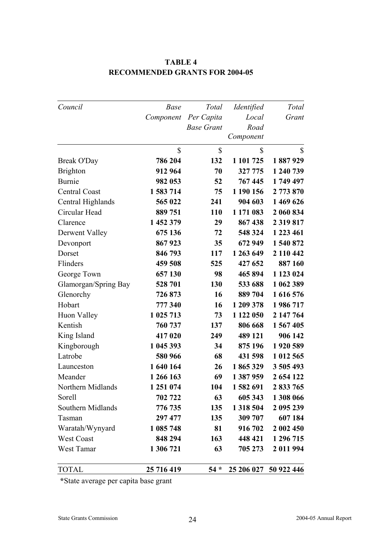| Council              | <b>Base</b> | Total             | <i>Identified</i> | Total                 |
|----------------------|-------------|-------------------|-------------------|-----------------------|
|                      | Component   | Per Capita        | Local             | Grant                 |
|                      |             | <b>Base Grant</b> | Road              |                       |
|                      |             |                   | Component         |                       |
|                      | \$          | \$                | \$                | \$                    |
| Break O'Day          | 786 204     | 132               | 1 101 725         | 1887929               |
| <b>Brighton</b>      | 912 964     | 70                | 327 775           | 1 240 739             |
| Burnie               | 982 053     | 52                | 767 445           | 1749 497              |
| <b>Central Coast</b> | 1 583 714   | 75                | 1 190 156         | 2 773 870             |
| Central Highlands    | 565 022     | 241               | 904 603           | 1 469 626             |
| Circular Head        | 889 751     | 110               | 1 171 083         | 2 060 834             |
| Clarence             | 1 452 379   | 29                | 867 438           | 2 3 19 8 17           |
| Derwent Valley       | 675 136     | 72                | 548 324           | 1 223 461             |
| Devonport            | 867923      | 35                | 672 949           | 1 540 872             |
| Dorset               | 846 793     | 117               | 1 263 649         | 2 110 442             |
| Flinders             | 459 508     | 525               | 427 652           | 887 160               |
| George Town          | 657 130     | 98                | 465 894           | 1 123 024             |
| Glamorgan/Spring Bay | 528 701     | 130               | 533 688           | 1 062 389             |
| Glenorchy            | 726873      | 16                | 889 704           | 1616576               |
| Hobart               | 777 340     | 16                | 1 209 378         | 1986717               |
| Huon Valley          | 1 025 713   | 73                | 1 122 050         | 2 147 764             |
| Kentish              | 760 737     | 137               | 806 668           | 1 567 405             |
| King Island          | 417 020     | 249               | 489 121           | 906 142               |
| Kingborough          | 1 045 393   | 34                | 875 196           | 1920 589              |
| Latrobe              | 580 966     | 68                | 431 598           | 1 012 565             |
| Launceston           | 1 640 164   | 26                | 1865329           | 3 505 493             |
| Meander              | 1 266 163   | 69                | 1 387 959         | 2 654 122             |
| Northern Midlands    | 1 251 074   | 104               | 1582691           | 2 833 765             |
| Sorell               | 702 722     | 63                | 605 343           | 1 308 066             |
| Southern Midlands    | 776 735     | 135               | 1 3 18 5 04       | 2 095 239             |
| Tasman               | 297 477     | 135               | 309 707           | 607 184               |
| Waratah/Wynyard      | 1 085 748   | 81                | 916 702           | 2 002 450             |
| West Coast           | 848 294     | 163               | 448 421           | 1 296 715             |
| West Tamar           | 1 306 721   | 63                | 705 273           | 2 011 994             |
| <b>TOTAL</b>         | 25 716 419  | $54 *$            |                   | 25 206 027 50 922 446 |

### **TABLE 4 RECOMMENDED GRANTS FOR 2004-05**

 **\***State average per capita base grant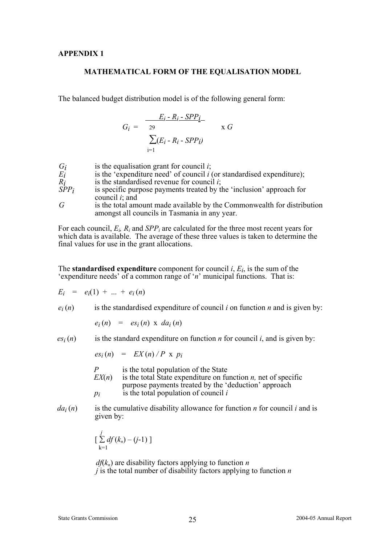### **MATHEMATICAL FORM OF THE EQUALISATION MODEL**

The balanced budget distribution model is of the following general form:

$$
G_i = \frac{E_i - R_i - SPP_i}{29} \times G
$$

$$
\sum_{i=1}^{n} (E_i - R_i - SPP_i)
$$

| $G_i$   | is the equalisation grant for council $i$ ;                                               |
|---------|-------------------------------------------------------------------------------------------|
| $E_i$   | is the 'expenditure need' of council $i$ (or standardised expenditure);                   |
| $R_i$   | is the standardised revenue for council $i$ ;                                             |
| $SPP_i$ | is specific purpose payments treated by the 'inclusion' approach for<br>council $i$ ; and |
| G       | is the total amount made available by the Commonwealth for distribution                   |

For each council,  $E_i$ ,  $R_i$  and  $SPP_i$  are calculated for the three most recent years for which data is available. The average of these three values is taken to determine the

The **standardised expenditure** component for council *i*, *Ei*, is the sum of the 'expenditure needs' of a common range of '*n*' municipal functions. That is:

amongst all councils in Tasmania in any year.

 $E_i = e_i(1) + ... + e_i(n)$ 

 $e_i(n)$  is the standardised expenditure of council *i* on function *n* and is given by:

$$
e_i(n) = es_i(n) \times da_i(n)
$$

final values for use in the grant allocations.

 $e_i(n)$  is the standard expenditure on function *n* for council *i*, and is given by:

$$
es_i(n) = EX(n)/P \times p_i
$$

*P* is the total population of the State

- $EX(n)$  is the total State expenditure on function *n*, net of specific purpose payments treated by the 'deduction' approach *pi* is the total population of council *i*
- $da_i(n)$  is the cumulative disability allowance for function *n* for council *i* and is given by:

$$
\left[\sum_{k=1}^j df(k_n) - (j-1)\right]
$$

 $df(k_n)$  are disability factors applying to function *n j* is the total number of disability factors applying to function *n*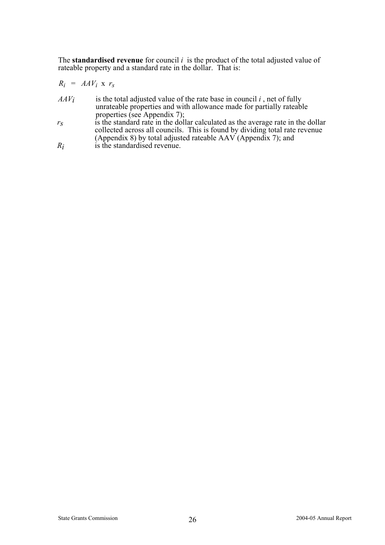The **standardised revenue** for council *i* is the product of the total adjusted value of rateable property and a standard rate in the dollar. That is:

$$
R_i = AAV_i \times r_s
$$

- $AAV_i$  is the total adjusted value of the rate base in council *i*, net of fully unrateable properties and with allowance made for partially rateable properties (see Appendix 7);
- *r<sub>s</sub>* is the standard rate in the dollar calculated as the average rate in the dollar collected across all councils. This is found by dividing total rate revenue (Appendix 8) by total adjusted rateable AAV (Appendix 7); and *R<sub>i</sub>* is the standardised revenue.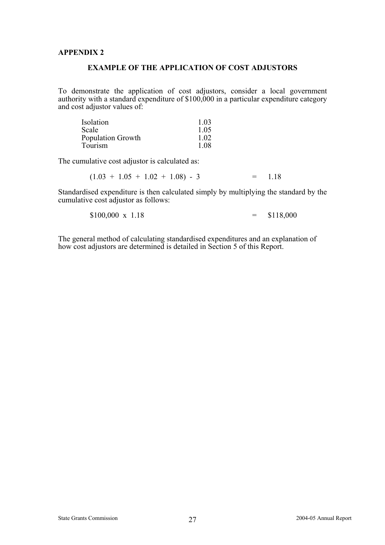### **EXAMPLE OF THE APPLICATION OF COST ADJUSTORS**

To demonstrate the application of cost adjustors, consider a local government authority with a standard expenditure of \$100,000 in a particular expenditure category and cost adjustor values of:

| Isolation                | 1 03  |
|--------------------------|-------|
| Scale                    | 1 0 5 |
| <b>Population Growth</b> | 1 0 2 |
| Tourism                  | 1.08  |

The cumulative cost adjustor is calculated as:

 $(1.03 + 1.05 + 1.02 + 1.08) - 3 = 1.18$ 

Standardised expenditure is then calculated simply by multiplying the standard by the cumulative cost adjustor as follows:

$$
$100,000 \times 1.18 = $118,000
$$

The general method of calculating standardised expenditures and an explanation of how cost adjustors are determined is detailed in Section 5 of this Report.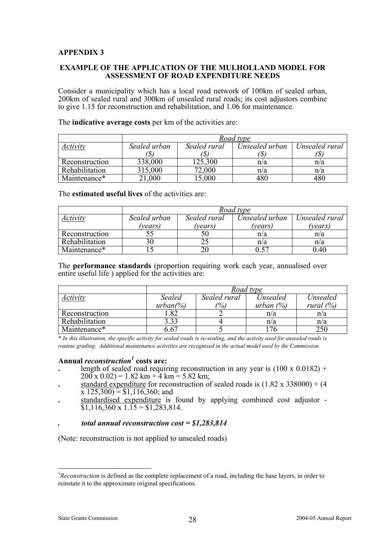#### **EXAMPLE OF THE APPLICATION OF THE MULHOLLAND MODEL FOR ASSESSMENT OF ROAD EXPENDITURE NEEDS**

Consider a municipality which has a local road network of 100km of sealed urban, 200km of sealed rural and 300km of unsealed rural roads; its cost adjustors combine to give 1.15 for reconstruction and rehabilitation, and 1.06 for maintenance.

|                | Road type    |              |                |                |
|----------------|--------------|--------------|----------------|----------------|
| Activity       | Sealed urban | Sealed rural | Unsealed urban | Unsealed rural |
|                |              |              |                |                |
| Reconstruction | 338,000      | 125,300      | n/a            | n/a            |
| Rehabilitation | 315,000      | 72,000       | n/a            | n/a            |
| Maintenance*   | 21,000       | 5,000        |                | 480            |

The **indicative average costs** per km of the activities are:

The **estimated useful lives** of the activities are:

|                | Road type    |              |                |                |  |  |
|----------------|--------------|--------------|----------------|----------------|--|--|
| Activity       | Sealed urban | Sealed rural | Unsealed urban | Unsealed rural |  |  |
|                | 'vears)      | (vears)      | 'vears)        | (years)        |  |  |
| Reconstruction |              | эu           | n/a            | n/a            |  |  |
| Rehabilitation |              |              | n/a            | n/a            |  |  |
| Maintenance*   |              |              |                | 0.40           |  |  |

The **performance standards** (proportion requiring work each year, annualised over entire useful life ) applied for the activities are:

|                | Road type    |              |              |              |  |  |  |
|----------------|--------------|--------------|--------------|--------------|--|--|--|
| Activity       | Sealed       | Sealed rural | Unsealed     | Unsealed     |  |  |  |
|                | $urban(\% )$ | $\%$         | urban $(\%)$ | rural $(\%)$ |  |  |  |
| Reconstruction | .82          |              | n/a          | n/a          |  |  |  |
| Rehabilitation | 3.33         |              | n/a          | n/a          |  |  |  |
| Maintenance*   | 6.67         |              |              | 250          |  |  |  |

*\* In this illustration, the specific activity for sealed roads is re-sealing, and the activity used for unsealed roads is routine grading. Additional maintenance activities are recognised in the actual model used by the Commission.* 

### **Annual** *reconstruction1*  **costs are:**

- length of sealed road requiring reconstruction in any year is  $(100 \times 0.0182)$  +  $200 \times 0.02$ ) = 1.82 km + 4 km = 5.82 km;
- standard expenditure for reconstruction of sealed roads is  $(1.82 \times 338000) + (4$  $x$  125,300) = \$1,116,360; and **standardised** expenditure is found by applying combined cost adjustor -
- $\overline{$1,116,360 \times 1.15} = $1,283,814.$

#### *. total annual reconstruction cost = \$1,283,814*

(Note: reconstruction is not applied to unsealed roads)

l

<sup>&</sup>lt;sup>1</sup>Reconstruction is defined as the complete replacement of a road, including the base layers, in order to reinstate it to the approximate original specifications.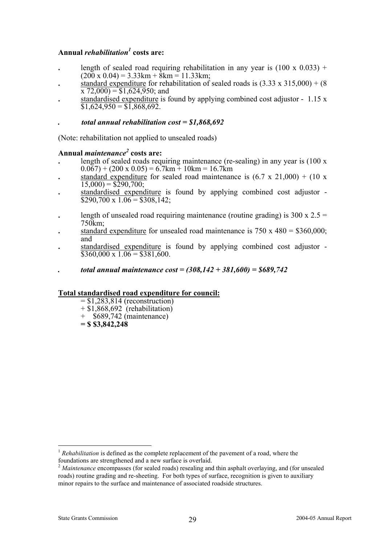### **Annual** *rehabilitation1*  **costs are:**

- length of sealed road requiring rehabilitation in any year is  $(100 \times 0.033)$  +  $(200 \times 0.04) = 3.33 \text{km} + 8 \text{km} = 11.33 \text{km}$ ;
- standard expenditure for rehabilitation of sealed roads is  $(3.33 \times 315.000) + (8.00 \times 10^{-19})$  $\overline{x}$  72,000) = \$1,624,950; and
- **.** standardised expenditure is found by applying combined cost adjustor 1.15 x  $\overline{$}31,624,950 = $1,868,692.$
- *. total annual rehabilitation cost = \$1,868,692*

(Note: rehabilitation not applied to unsealed roads)

### **Annual** *maintenance<sup>2</sup>*  **costs are:**

- **.** length of sealed roads requiring maintenance (re-sealing) in any year is (100 x  $(0.067) + (200 \times 0.05) = 6.7 \text{km} + 10 \text{km} = 16.7 \text{km}$
- standard expenditure for sealed road maintenance is  $(6.7 \times 21,000) + (10 \times$  $\overline{15,000}$  = \$290,700;
- **.** standardised expenditure is found by applying combined cost adjustor  $\overline{$}290,700 \times 1.06 = $308,142;$
- length of unsealed road requiring maintenance (routine grading) is  $300 \times 2.5 =$ 750km;
- standard expenditure for unsealed road maintenance is  $750 \times 480 = $360,000$ . and
- **.** standardised expenditure is found by applying combined cost adjustor  $\overline{$}360,000 \times 1.06 = $381,600.$
- *. total annual maintenance cost = (308,142 + 381,600) = \$689,742*

### **Total standardised road expenditure for council:**

- $= $1,283,814$  (reconstruction)
- $+ $1,868,692$  (rehabilitation)
- $+$  \$689,742 (maintenance)
- **= \$ \$3,842,248**

<sup>&</sup>lt;sup>1</sup> *Rehabilitation* is defined as the complete replacement of the pavement of a road, where the

foundations are strengthened and a new surface is overlaid. 2 *Maintenance* encompasses (for sealed roads) resealing and thin asphalt overlaying, and (for unsealed roads) routine grading and re-sheeting. For both types of surface, recognition is given to auxiliary minor repairs to the surface and maintenance of associated roadside structures.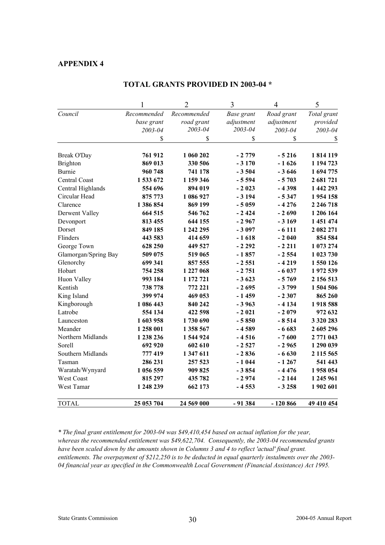|                           | 1           | $\overline{2}$       | 3          | 4          | 5             |
|---------------------------|-------------|----------------------|------------|------------|---------------|
| Council                   | Recommended | Recommended          | Base grant | Road grant | Total grant   |
|                           | base grant  | road grant           | adjustment | adjustment | provided      |
|                           | 2003-04     | 2003-04              | 2003-04    | 2003-04    | 2003-04       |
|                           | \$          | \$                   | \$         | \$         | \$            |
|                           | 761 912     | 1 060 202            | $-2779$    | $-5216$    | 1814119       |
| Break O'Day               | 869 013     |                      | $-3170$    | $-1626$    | 1 194 723     |
| <b>Brighton</b><br>Burnie |             | 330 506              | $-3504$    |            | 1694775       |
|                           | 960 748     | 741 178<br>1 159 346 |            | $-3646$    |               |
| Central Coast             | 1533672     |                      | $-5594$    | $-5703$    | 2 681 721     |
| Central Highlands         | 554 696     | 894 019              | $-2023$    | $-4398$    | 1 442 293     |
| Circular Head             | 875 773     | 1 086 927            | $-3194$    | $-5347$    | 1954158       |
| Clarence                  | 1 386 854   | 869 199              | $-5059$    | $-4276$    | 2 2 4 6 7 1 8 |
| Derwent Valley            | 664 515     | 546 762              | $-2424$    | $-2690$    | 1 206 164     |
| Devonport                 | 813 455     | 644 155              | $-2967$    | $-3169$    | 1 451 474     |
| Dorset                    | 849 185     | 1 242 295            | $-3097$    | $-6111$    | 2 082 271     |
| Flinders                  | 443 583     | 414 659              | $-1618$    | $-2040$    | 854 584       |
| George Town               | 628 250     | 449 527              | $-2292$    | $-2211$    | 1 073 274     |
| Glamorgan/Spring Bay      | 509 075     | 519 065              | $-1857$    | $-2554$    | 1 023 730     |
| Glenorchy                 | 699 341     | 857 555              | $-2551$    | $-4219$    | 1550126       |
| Hobart                    | 754 258     | 1 227 068            | $-2751$    | $-6037$    | 1972 539      |
| Huon Valley               | 993 184     | 1 172 721            | $-3623$    | $-5769$    | 2 156 513     |
| Kentish                   | 738 778     | 772 221              | $-2695$    | $-3799$    | 1 504 506     |
| King Island               | 399 974     | 469 053              | $-1459$    | $-2307$    | 865 260       |
| Kingborough               | 1 086 443   | 840 242              | $-3963$    | $-4134$    | 1918588       |
| Latrobe                   | 554 134     | 422 598              | $-2021$    | $-2079$    | 972 632       |
| Launceston                | 1603958     | 1730690              | $-5850$    | $-8514$    | 3 3 2 0 2 8 3 |
| Meander                   | 1 258 001   | 1 358 567            | $-4589$    | $-6683$    | 2 605 296     |
| Northern Midlands         | 1 238 236   | 1 544 924            | $-4516$    | $-7600$    | 2 771 043     |
| Sorell                    | 692 920     | 602 610              | $-2527$    | $-2965$    | 1 290 039     |
| Southern Midlands         | 777419      | 1 347 611            | $-2836$    | $-6630$    | 2 115 565     |
| Tasman                    | 286 231     | 257 523              | $-1044$    | $-1267$    | 541 443       |
| Waratah/Wynyard           | 1 056 559   | 909825               | $-3854$    | $-4476$    | 1958 054      |
| West Coast                | 815 297     | 435 782              | - 2 974    | $-2144$    | 1 245 961     |
| West Tamar                | 1 248 239   | 662 173              | $-4553$    | $-3258$    | 1902 601      |
| <b>TOTAL</b>              | 25 053 704  | 24 569 000           | $-91384$   | $-120866$  | 49 410 454    |

#### **TOTAL GRANTS PROVIDED IN 2003-04 \***

*\* The final grant entitlement for 2003-04 was \$49,410,454 based on actual inflation for the year, whereas the recommended entitlement was \$49,622,704. Consequently, the 2003-04 recommended grants have been scaled down by the amounts shown in Columns 3 and 4 to reflect 'actual' final grant. entitlements. The overpayment of \$212,250 is to be deducted in equal quarterly instalments over the 2003- 04 financial year as specified in the Commonwealth Local Government (Financial Assistance) Act 1995.*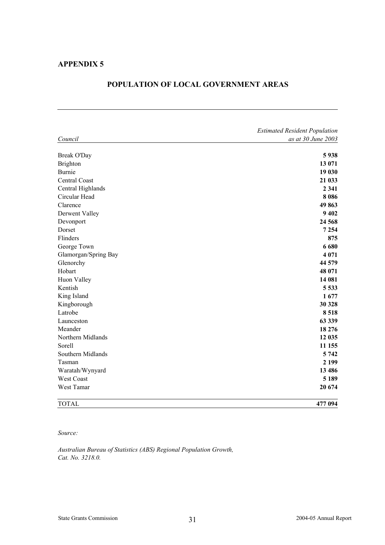|                      | <b>Estimated Resident Population</b> |
|----------------------|--------------------------------------|
| Council              | as at 30 June 2003                   |
|                      |                                      |
| <b>Break O'Day</b>   | 5938                                 |
| <b>Brighton</b>      | 13 071                               |
| Burnie               | 19 030                               |
| Central Coast        | 21 033                               |
| Central Highlands    | 2 3 4 1                              |
| Circular Head        | 8086                                 |
| Clarence             | 49863                                |
| Derwent Valley       | 9 4 0 2                              |
| Devonport            | 24 5 68                              |
| Dorset               | 7 2 5 4                              |
| Flinders             | 875                                  |
| George Town          | 6680                                 |
| Glamorgan/Spring Bay | 4 0 7 1                              |
| Glenorchy            | 44 579                               |
| Hobart               | 48 071                               |
| Huon Valley          | 14 081                               |
| Kentish              | 5 5 3 3                              |
| King Island          | 1677                                 |
| Kingborough          | 30 328                               |
| Latrobe              | 8518                                 |
| Launceston           | 63 339                               |
| Meander              | 18 27 6                              |
| Northern Midlands    | 12 035                               |
| Sorell               | 11 155                               |
| Southern Midlands    | 5 7 4 2                              |
| Tasman               | 2 1 9 9                              |
| Waratah/Wynyard      | 13 4 8 6                             |
| West Coast           | 5 1 8 9                              |
| West Tamar           | 20 674                               |
| <b>TOTAL</b>         | 477 094                              |

#### **POPULATION OF LOCAL GOVERNMENT AREAS**

#### *Source:*

*Australian Bureau of Statistics (ABS) Regional Population Growth, Cat. No. 3218.0.*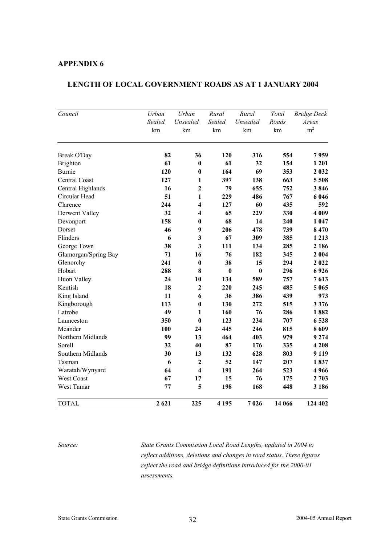### **LENGTH OF LOCAL GOVERNMENT ROADS AS AT 1 JANUARY 2004**

| Council              | Urban               | Urban                   | Rural               | Rural          | Total       | <b>Bridge Deck</b>      |
|----------------------|---------------------|-------------------------|---------------------|----------------|-------------|-------------------------|
|                      | <b>Sealed</b><br>km | Unsealed<br>km          | <b>Sealed</b><br>km | Unsealed<br>km | Roads<br>km | Areas<br>m <sup>2</sup> |
| Break O'Day          | 82                  | 36                      | 120                 | 316            | 554         | 7959                    |
| <b>Brighton</b>      | 61                  | $\bf{0}$                | 61                  | 32             | 154         | 1 201                   |
| Burnie               | 120                 | $\bf{0}$                | 164                 | 69             | 353         | 2 0 3 2                 |
| Central Coast        | 127                 | 1                       | 397                 | 138            | 663         | 5 5 0 8                 |
| Central Highlands    | 16                  | $\overline{2}$          | 79                  | 655            | 752         | 3846                    |
| Circular Head        | 51                  | $\mathbf{1}$            | 229                 | 486            | 767         | 6 0 4 6                 |
| Clarence             | 244                 | $\overline{\mathbf{4}}$ | 127                 | 60             | 435         | 592                     |
| Derwent Valley       | 32                  | $\overline{\mathbf{4}}$ | 65                  | 229            | 330         | 4 0 0 9                 |
| Devonport            | 158                 | $\bf{0}$                | 68                  | 14             | 240         | 1 047                   |
| Dorset               | 46                  | $\boldsymbol{9}$        | 206                 | 478            | 739         | 8470                    |
| Flinders             | 6                   | $\mathbf{3}$            | 67                  | 309            | 385         | 1 2 1 3                 |
| George Town          | 38                  | $\overline{\mathbf{3}}$ | 111                 | 134            | 285         | 2 1 8 6                 |
| Glamorgan/Spring Bay | 71                  | 16                      | 76                  | 182            | 345         | 2 0 0 4                 |
| Glenorchy            | 241                 | $\bf{0}$                | 38                  | 15             | 294         | 2022                    |
| Hobart               | 288                 | 8                       | $\bf{0}$            | $\bf{0}$       | 296         | 6926                    |
| Huon Valley          | 24                  | 10                      | 134                 | 589            | 757         | 7613                    |
| Kentish              | 18                  | $\mathbf{2}$            | 220                 | 245            | 485         | 5 0 6 5                 |
| King Island          | 11                  | 6                       | 36                  | 386            | 439         | 973                     |
| Kingborough          | 113                 | $\bf{0}$                | 130                 | 272            | 515         | 3 3 7 6                 |
| Latrobe              | 49                  | 1                       | 160                 | 76             | 286         | 1882                    |
| Launceston           | 350                 | $\bf{0}$                | 123                 | 234            | 707         | 6528                    |
| Meander              | 100                 | 24                      | 445                 | 246            | 815         | 8609                    |
| Northern Midlands    | 99                  | 13                      | 464                 | 403            | 979         | 9 2 7 4                 |
| Sorell               | 32                  | 40                      | 87                  | 176            | 335         | 4 2 0 8                 |
| Southern Midlands    | 30                  | 13                      | 132                 | 628            | 803         | 9 1 1 9                 |
| Tasman               | 6                   | $\mathbf{2}$            | 52                  | 147            | 207         | 1837                    |
| Waratah/Wynyard      | 64                  | $\overline{\mathbf{4}}$ | 191                 | 264            | 523         | 4966                    |
| West Coast           | 67                  | 17                      | 15                  | 76             | 175         | 2 7 0 3                 |
| West Tamar           | 77                  | 5                       | 198                 | 168            | 448         | 3 186                   |
| <b>TOTAL</b>         | 2 6 2 1             | 225                     | 4 1 9 5             | 7026           | 14 066      | 124 402                 |

*Source: State Grants Commission Local Road Lengths, updated in 2004 to reflect additions, deletions and changes in road status. These figures reflect the road and bridge definitions introduced for the 2000-01 assessments.*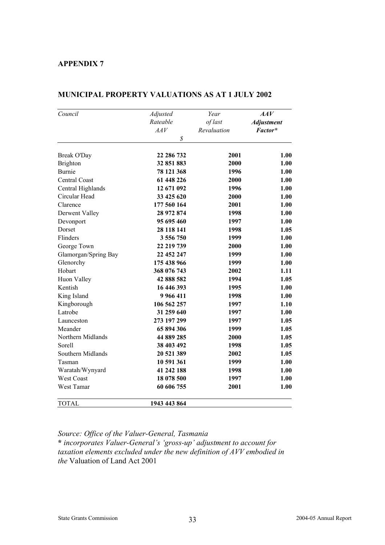| Council              | Adjusted     | Year        | AAV               |
|----------------------|--------------|-------------|-------------------|
|                      | Rateable     | of last     | <b>Adjustment</b> |
|                      | AAV          | Revaluation | Factor*           |
|                      | \$           |             |                   |
| Break O'Day          | 22 286 732   | 2001        | 1.00              |
| <b>Brighton</b>      | 32 851 883   | 2000        | 1.00              |
| Burnie               | 78 121 368   | 1996        | 1.00              |
| Central Coast        | 61 448 226   | 2000        | 1.00              |
| Central Highlands    | 12 671 092   | 1996        | 1.00              |
| Circular Head        | 33 425 620   | 2000        | 1.00              |
| Clarence             | 177 560 164  | 2001        | 1.00              |
| Derwent Valley       | 28 972 874   | 1998        | 1.00              |
| Devonport            | 95 695 460   | 1997        | 1.00              |
| Dorset               | 28 118 141   | 1998        | 1.05              |
| Flinders             | 3 556 750    | 1999        | 1.00              |
| George Town          | 22 219 739   | 2000        | 1.00              |
| Glamorgan/Spring Bay | 22 452 247   | 1999        | 1.00              |
| Glenorchy            | 175 438 966  | 1999        | 1.00              |
| Hobart               | 368 076 743  | 2002        | 1.11              |
| Huon Valley          | 42 888 582   | 1994        | 1.05              |
| Kentish              | 16 446 393   | 1995        | 1.00              |
| King Island          | 9 9 6 4 1 1  | 1998        | 1.00              |
| Kingborough          | 106 562 257  | 1997        | 1.10              |
| Latrobe              | 31 259 640   | 1997        | 1.00              |
| Launceston           | 273 197 299  | 1997        | 1.05              |
| Meander              | 65 894 306   | 1999        | 1.05              |
| Northern Midlands    | 44 889 285   | 2000        | 1.05              |
| Sorell               | 38 403 492   | 1998        | 1.05              |
| Southern Midlands    | 20 521 389   | 2002        | 1.05              |
| Tasman               | 10 591 361   | 1999        | 1.00              |
| Waratah/Wynyard      | 41 242 188   | 1998        | 1.00              |
| <b>West Coast</b>    | 18 078 500   | 1997        | 1.00              |
| West Tamar           | 60 606 755   | 2001        | 1.00              |
| <b>TOTAL</b>         | 1943 443 864 |             |                   |

### **MUNICIPAL PROPERTY VALUATIONS AS AT 1 JULY 2002**

*Source: Office of the Valuer-General, Tasmania*

**\*** *incorporates Valuer-General's 'gross-up' adjustment to account for taxation elements excluded under the new definition of AVV embodied in the* Valuation of Land Act 2001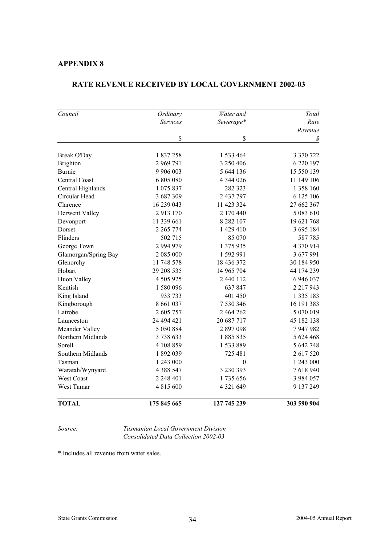| Council              | Ordinary      | Water and     | Total               |
|----------------------|---------------|---------------|---------------------|
|                      | Services      | Sewerage*     | Rate                |
|                      |               |               | Revenue             |
|                      | \$            | \$            | $\mathcal{S}% _{0}$ |
| Break O'Day          | 1837258       | 1 533 464     | 3 370 722           |
| Brighton             | 2 969 791     | 3 250 406     | 6 220 197           |
| Burnie               | 9 906 003     | 5 644 136     | 15 550 139          |
| Central Coast        | 6805080       | 4 344 026     | 11 149 106          |
| Central Highlands    | 1 075 837     | 282 323       | 1 358 160           |
| Circular Head        | 3687309       | 2 437 797     | 6 125 106           |
| Clarence             | 16 239 043    | 11 423 324    | 27 662 367          |
| Derwent Valley       | 2913170       | 2 170 440     | 5 083 610           |
| Devonport            | 11 339 661    | 8 2 8 2 1 0 7 | 19 621 768          |
| Dorset               | 2 2 6 5 7 7 4 | 1 429 410     | 3 695 184           |
| Flinders             | 502 715       | 85 070        | 587785              |
| George Town          | 2 994 979     | 1 375 935     | 4 370 914           |
| Glamorgan/Spring Bay | 2 085 000     | 1 592 991     | 3 677 991           |
| Glenorchy            | 11 748 578    | 18 436 372    | 30 184 950          |
| Hobart               | 29 208 535    | 14 965 704    | 44 174 239          |
| Huon Valley          | 4 505 925     | 2 440 112     | 6 946 037           |
| Kentish              | 1 580 096     | 637847        | 2 2 1 7 9 4 3       |
| King Island          | 933 733       | 401 450       | 1 3 3 5 1 8 3       |
| Kingborough          | 8 6 6 1 0 3 7 | 7 530 346     | 16 191 383          |
| Latrobe              | 2 605 757     | 2 464 262     | 5 070 019           |
| Launceston           | 24 494 421    | 20 687 717    | 45 182 138          |
| Meander Valley       | 5 0 5 0 8 8 4 | 2897098       | 7 947 982           |
| Northern Midlands    | 3738633       | 1885835       | 5 624 468           |
| Sorell               | 4 108 859     | 1 533 889     | 5 642 748           |
| Southern Midlands    | 1892039       | 725 481       | 2 617 520           |
| Tasman               | 1 243 000     | $\mathbf{0}$  | 1 243 000           |
| Waratah/Wynyard      | 4 3 8 5 4 7   | 3 230 393     | 7618940             |
| <b>West Coast</b>    | 2 248 401     | 1735 656      | 3 9 8 4 0 5 7       |
| West Tamar           | 4 815 600     | 4 3 2 1 6 4 9 | 9 137 249           |
| <b>TOTAL</b>         | 175 845 665   | 127 745 239   | 303 590 904         |

#### **RATE REVENUE RECEIVED BY LOCAL GOVERNMENT 2002-03**

*Source: Tasmanian Local Government Division Consolidated Data Collection 2002-03* 

\* Includes all revenue from water sales.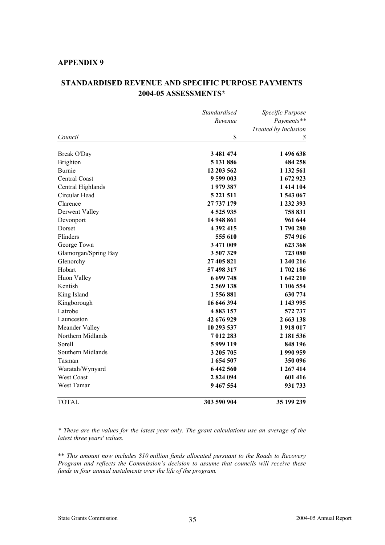|                      | <b>Standardised</b> | Specific Purpose     |  |
|----------------------|---------------------|----------------------|--|
|                      | Revenue             | Payments**           |  |
|                      |                     | Treated by Inclusion |  |
| Council              | \$                  | \$                   |  |
| Break O'Day          | 3 481 474           | 1496638              |  |
| <b>Brighton</b>      | 5 131 886           | 484 258              |  |
| <b>Burnie</b>        | 12 203 562          | 1 132 561            |  |
| Central Coast        | 9 599 003           | 1672923              |  |
|                      |                     |                      |  |
| Central Highlands    | 1979387             | 1 414 104            |  |
| Circular Head        | 5 2 2 1 5 1 1       | 1543 067             |  |
| Clarence             | 27 737 179          | 1 232 393            |  |
| Derwent Valley       | 4525935             | 758 831              |  |
| Devonport            | 14 948 861          | 961 644              |  |
| Dorset               | 4 392 415           | 1790280              |  |
| Flinders             | 555 610             | 574 916              |  |
| George Town          | 3 471 009           | 623 368              |  |
| Glamorgan/Spring Bay | 3507329             | 723 080              |  |
| Glenorchy            | 27 405 821          | 1 240 216            |  |
| Hobart               | 57 498 317          | 1702186              |  |
| Huon Valley          | 6 699 748           | 1 642 210            |  |
| Kentish              | 2 569 138           | 1 106 554            |  |
| King Island          | 1556881             | 630 774              |  |
| Kingborough          | 16 646 394          | 1 143 995            |  |
| Latrobe              | 4883157             | 572 737              |  |
| Launceston           | 42 676 929          | 2 663 138            |  |
| Meander Valley       | 10 293 537          | 1918017              |  |
| Northern Midlands    | 7012283             | 2 181 536            |  |
| Sorell               | 5999119             | 848 196              |  |
| Southern Midlands    | 3 205 705           | 1990959              |  |
| Tasman               | 1 654 507           | 350 096              |  |
| Waratah/Wynyard      | 6442560             | 1 267 414            |  |
| <b>West Coast</b>    | 2824094             | 601 416              |  |
| West Tamar           | 9 467 554           | 931 733              |  |
| TOTAL                | 303 590 904         | 35 199 239           |  |

### **STANDARDISED REVENUE AND SPECIFIC PURPOSE PAYMENTS 2004-05 ASSESSMENTS\***

*\* These are the values for the latest year only. The grant calculations use an average of the latest three years' values.*

\*\* *This amount now includes \$10 million funds allocated pursuant to the Roads to Recovery Program and reflects the Commission's decision to assume that councils will receive these funds in four annual instalments over the life of the program.*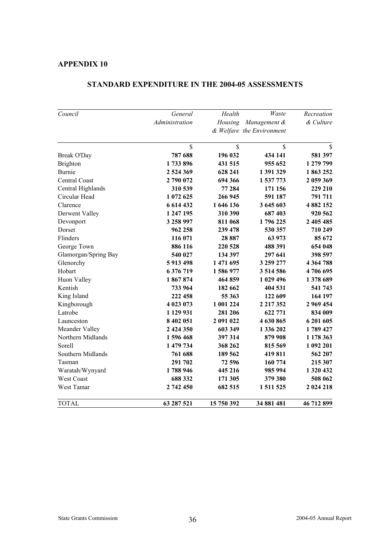| Council              | General        | Health     | Waste                     | Recreation    |
|----------------------|----------------|------------|---------------------------|---------------|
|                      | Administration |            | Housing Management &      | & Culture     |
|                      |                |            | & Welfare the Environment |               |
|                      | \$             | \$         | \$                        | $\mathbf S$   |
| Break O'Day          | 787 688        | 196 032    | 434 141                   | 581 397       |
| <b>Brighton</b>      | 1733896        | 431 515    | 955 652                   | 1 279 799     |
| <b>Burnie</b>        | 2 524 369      | 628 241    | 1 391 329                 | 1863252       |
| Central Coast        | 2790072        | 694 366    | 1 537 773                 | 2 059 369     |
| Central Highlands    | 310 539        | 77 284     | 171 156                   | 229 210       |
| Circular Head        | 1 072 625      | 266 945    | 591 187                   | 791 711       |
| Clarence             | 6 6 14 4 32    | 1 646 136  | 3 645 603                 | 4 882 152     |
| Derwent Valley       | 1 247 195      | 310 390    | 687403                    | 920 562       |
| Devonport            | 3 258 997      | 811 068    | 1796225                   | 2 405 485     |
| Dorset               | 962 258        | 239 478    | 530 357                   | 710 249       |
| Flinders             | 116 071        | 28 887     | 63 973                    | 85 672        |
| George Town          | 886 116        | 220 528    | 488 391                   | 654 048       |
| Glamorgan/Spring Bay | 540 027        | 134 397    | 297 641                   | 398 597       |
| Glenorchy            | 5913498        | 1 471 695  | 3 259 277                 | 4 3 6 4 7 8 8 |
| Hobart               | 6 376 719      | 1586977    | 3 5 14 5 8 6              | 4706695       |
| Huon Valley          | 1867874        | 464 859    | 1 029 496                 | 1378 689      |
| Kentish              | 733 964        | 182 662    | 404 531                   | 541 743       |
| King Island          | 222 458        | 55 363     | 122 609                   | 164 197       |
| Kingborough          | 4 023 073      | 1 001 224  | 2 2 1 7 3 5 2             | 2 969 454     |
| Latrobe              | 1 129 931      | 281 206    | 622 771                   | 834 009       |
| Launceston           | 8 402 051      | 2 091 022  | 4 630 865                 | 6 201 605     |
| Meander Valley       | 2 424 350      | 603 349    | 1 336 202                 | 1789 427      |
| Northern Midlands    | 1596468        | 397 314    | 879 908                   | 1 178 363     |
| Sorell               | 1 479 734      | 368 262    | 815 569                   | 1 092 201     |
| Southern Midlands    | 761 688        | 189 562    | 419811                    | 562 207       |
| Tasman               | 291 702        | 72 596     | 160 774                   | 215 307       |
| Waratah/Wynyard      | 1788946        | 445 216    | 985 994                   | 1 320 432     |
| West Coast           | 688 332        | 171 305    | 379 380                   | 508 062       |
| West Tamar           | 2 742 450      | 682 515    | 1 511 525                 | 2 024 218     |
| <b>TOTAL</b>         | 63 287 521     | 15 750 392 | 34 881 481                | 46 712 899    |

### **STANDARD EXPENDITURE IN THE 2004-05 ASSESSMENTS**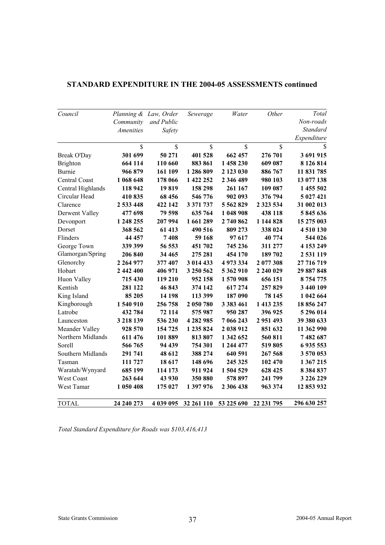| Council           |                  | Planning & Law, Order | Sewerage      | Water         | Other              | Total         |
|-------------------|------------------|-----------------------|---------------|---------------|--------------------|---------------|
|                   | Community        | and Public            |               |               |                    | Non-roads     |
|                   | <b>Amenities</b> | Safety                |               |               |                    | Standard      |
|                   |                  |                       |               |               |                    | Expenditure   |
|                   | \$               | \$                    | $\mathsf{\$}$ | \$            | $\hat{\mathbf{S}}$ | \$            |
| Break O'Day       | 301 699          | 50 271                | 401 528       | 662 457       | 276 701            | 3 691 915     |
| Brighton          | 664 114          | 110 660               | 883 861       | 1458230       | 609 087            | 8 126 814     |
| <b>Burnie</b>     | 966 879          | 161 109               | 1 286 809     | 2 123 030     | 886 767            | 11 831 785    |
| Central Coast     | 1 068 648        | 178 066               | 1 422 252     | 2 346 489     | 980 103            | 13 077 138    |
| Central Highlands | 118 942          | 19819                 | 158 298       | 261 167       | 109 087            | 1 455 502     |
| Circular Head     | 410 835          | 68 456                | 546 776       | 902 093       | 376 794            | 5 027 421     |
| Clarence          | 2 533 448        | 422 142               | 3 371 737     | 5 5 6 2 8 2 9 | 2 3 2 3 5 3 4      | 31 002 013    |
| Derwent Valley    | 477 698          | 79 598                | 635 764       | 1 048 908     | 438 118            | 5845636       |
| Devonport         | 1 248 255        | 207 994               | 1 661 289     | 2740862       | 1 144 828          | 15 275 003    |
| Dorset            | 368 562          | 61 413                | 490 516       | 809 273       | 338 024            | 4 510 130     |
| Flinders          | 44 457           | 7408                  | 59 168        | 97 617        | 40 774             | 544 026       |
| George Town       | 339 399          | 56 553                | 451 702       | 745 236       | 311 277            | 4 153 249     |
| Glamorgan/Spring  | 206 840          | 34 4 65               | 275 281       | 454 170       | 189 702            | 2 531 119     |
| Glenorchy         | 2 2 64 9 77      | 377 407               | 3 014 433     | 4 973 334     | 2 077 308          | 27 716 719    |
| Hobart            | 2 442 400        | 406 971               | 3 250 562     | 5 362 910     | 2 240 029          | 29 887 848    |
| Huon Valley       | 715 430          | 119 210               | 952 158       | 1570908       | 656 151            | 8 754 775     |
| Kentish           | 281 122          | 46 843                | 374 142       | 617274        | 257829             | 3 440 109     |
| King Island       | 85 205           | 14 198                | 113 399       | 187 090       | 78 145             | 1 042 664     |
| Kingborough       | 1540910          | 256 758               | 2 050 780     | 3 3 8 3 4 6 1 | 1 413 235          | 18 856 247    |
| Latrobe           | 432 784          | 72 114                | 575987        | 950 287       | 396 925            | 5 296 014     |
| Launceston        | 3 2 18 139       | 536 230               | 4 282 985     | 7 066 243     | 2 951 493          | 39 380 633    |
| Meander Valley    | 928 570          | 154 725               | 1 235 824     | 2 038 912     | 851 632            | 11 362 990    |
| Northern Midlands | 611 476          | 101 889               | 813807        | 1 342 652     | 560 811            | 7482687       |
| Sorell            | 566 765          | 94 439                | 754 301       | 1 244 477     | 519805             | 6 935 553     |
| Southern Midlands | 291 741          | 48 612                | 388 274       | 640 591       | 267 568            | 3 570 053     |
| Tasman            | 111 727          | 18 617                | 148 696       | 245 325       | 102 470            | 1 367 215     |
| Waratah/Wynyard   | 685 199          | 114 173               | 911 924       | 1 504 529     | 628 425            | 8 3 8 4 8 3 7 |
| <b>West Coast</b> | 263 644          | 43 930                | 350 880       | 578 897       | 241 799            | 3 226 229     |
| West Tamar        | 1 050 408        | 175 027               | 1 397 976     | 2 306 438     | 963 374            | 12 853 932    |
| <b>TOTAL</b>      | 24 240 273       | 4 039 095             | 32 261 110    | 53 225 690    | 22 231 795         | 296 630 257   |

### **STANDARD EXPENDITURE IN THE 2004-05 ASSESSMENTS continued**

*Total Standard Expenditure for Roads was \$103,416,413*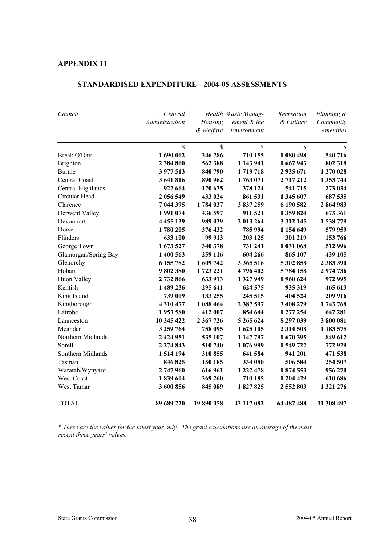| Council              | General        |           | Health Waste Manag- | Recreation    | Planning &       |
|----------------------|----------------|-----------|---------------------|---------------|------------------|
|                      | Administration | Housing   | ement & the         | & Culture     | Community        |
|                      |                | & Welfare | Environment         |               | <b>Amenities</b> |
|                      | \$             | \$        | \$                  | \$            | \$               |
| Break O'Day          | 1 690 062      | 346 786   | 710 155             | 1 080 498     | 540 716          |
| <b>Brighton</b>      | 2 3 8 4 8 6 0  | 562 388   | 1 143 941           | 1 667 943     | 802 318          |
| <b>Burnie</b>        | 3 977 513      | 840 790   | 1719718             | 2 935 671     | 1 270 028        |
| Central Coast        | 3 641 816      | 890 962   | 1763 071            | 2717212       | 1 353 744        |
| Central Highlands    | 922 664        | 170 635   | 378 124             | 541 715       | 273 034          |
| Circular Head        | 2 056 549      | 433 024   | 861 531             | 1 345 607     | 687 535          |
| Clarence             | 7 044 395      | 1784 037  | 3837259             | 6 190 582     | 2864983          |
| Derwent Valley       | 1991074        | 436 597   | 911 521             | 1 359 824     | 673 361          |
| Devonport            | 4 4 5 5 1 3 9  | 989 039   | 2 013 264           | 3 3 1 2 1 4 5 | 1 538 779        |
| Dorset               | 1780 205       | 376 432   | 785 994             | 1 154 649     | 579 959          |
| Flinders             | 633 100        | 99 913    | 203 125             | 301 219       | 153 766          |
| George Town          | 1 673 527      | 340 378   | 731 241             | 1 031 068     | 512 996          |
| Glamorgan/Spring Bay | 1 400 563      | 259 116   | 604 266             | 865 107       | 439 105          |
| Glenorchy            | 6 155 782      | 1 609 742 | 3 365 516           | 5 302 858     | 2 383 390        |
| Hobart               | 9802380        | 1723 221  | 4796402             | 5784158       | 2974736          |
| Huon Valley          | 2732866        | 633 913   | 1 327 949           | 1960 624      | 972 995          |
| Kentish              | 1 489 236      | 295 641   | 624 575             | 935 319       | 465 613          |
| King Island          | 739 009        | 133 255   | 245 515             | 404 524       | 209 916          |
| Kingborough          | 4 3 1 0 4 7 7  | 1 088 464 | 2 387 597           | 3 408 279     | 1743768          |
| Latrobe              | 1953 580       | 412 007   | 854 644             | 1 277 254     | 647 281          |
| Launceston           | 10 345 422     | 2 367 726 | 5 265 624           | 8 297 039     | 3800081          |
| Meander              | 3 259 764      | 758 095   | 1 625 105           | 2 3 1 4 5 0 8 | 1 183 575        |
| Northern Midlands    | 2 424 951      | 535 107   | 1 147 797           | 1670395       | 849 612          |
| Sorell               | 2 274 843      | 510 740   | 1 076 999           | 1 549 722     | 772929           |
| Southern Midlands    | 1 514 194      | 310855    | 641 584             | 941 201       | 471 538          |
| Tasman               | 846 825        | 150 185   | 334 080             | 506 584       | 254 507          |
| Waratah/Wynyard      | 2747960        | 616 961   | 1 222 478           | 1874553       | 956 270          |
| West Coast           | 1839604        | 369 260   | 710 185             | 1 204 429     | 610 686          |
| West Tamar           | 3 600 856      | 845 089   | 1827825             | 2 552 803     | 1 321 276        |
| <b>TOTAL</b>         | 89 689 220     | 19890358  | 43 117 082          | 64 487 488    | 31 308 497       |

#### **STANDARDISED EXPENDITURE - 2004-05 ASSESSMENTS**

*\* These are the values for the latest year only. The grant calculations use an average of the most recent three years' values.*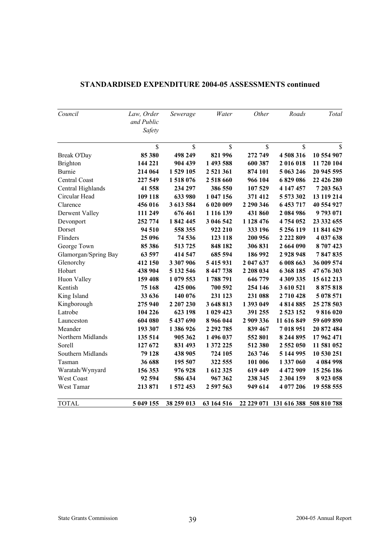| Council              | Law, Order<br>and Public<br>Safety | Sewerage   | Water      | Other     | Roads         | Total                              |
|----------------------|------------------------------------|------------|------------|-----------|---------------|------------------------------------|
|                      | \$                                 | \$         | \$         | \$        | \$            | \$                                 |
| Break O'Day          | 85 380                             | 498 249    | 821 996    | 272 749   | 4508316       | 10 554 907                         |
| <b>Brighton</b>      | 144 221                            | 904 439    | 1 493 588  | 600 387   | 2016018       | 11 720 104                         |
| Burnie               | 214 064                            | 1529 105   | 2 521 361  | 874 101   | 5 063 246     | 20 945 595                         |
| Central Coast        | 227 549                            | 1518076    | 2 518 660  | 966 104   | 6829086       | 22 426 280                         |
| Central Highlands    | 41 558                             | 234 297    | 386 550    | 107 529   | 4 147 457     | 7 203 563                          |
| Circular Head        | 109 118                            | 633 980    | 1 047 156  | 371 412   | 5 573 302     | 13 119 214                         |
| Clarence             | 456 016                            | 3 613 584  | 6 020 009  | 2 290 346 | 6 453 717     | 40 554 927                         |
| Derwent Valley       | 111 249                            | 676 461    | 1 116 139  | 431 860   | 2 084 986     | 9793071                            |
| Devonport            | 252 774                            | 1842445    | 3 046 542  | 1 128 476 | 4754052       | 23 332 655                         |
| Dorset               | 94 510                             | 558 355    | 922 210    | 333 196   | 5 256 119     | 11 841 629                         |
| Flinders             | 25 096                             | 74 536     | 123 118    | 200 956   | 2 2 2 2 8 0 9 | 4 037 638                          |
| George Town          | 85 386                             | 513725     | 848 182    | 306 831   | 2 664 090     | 8707423                            |
| Glamorgan/Spring Bay | 63 597                             | 414 547    | 685 594    | 186 992   | 2928948       | 7847835                            |
| Glenorchy            | 412 150                            | 3 307 906  | 5 415 931  | 2 047 637 | 6 008 663     | 36 009 574                         |
| Hobart               | 438 904                            | 5 132 546  | 8 447 738  | 2 208 034 | 6368185       | 47 676 303                         |
| Huon Valley          | 159 408                            | 1 079 553  | 1788791    | 646 779   | 4 309 335     | 15 612 213                         |
| Kentish              | 75 168                             | 425 006    | 700 592    | 254 146   | 3 610 521     | 8875818                            |
| King Island          | 33 636                             | 140 076    | 231 123    | 231 088   | 2710428       | 5 078 571                          |
| Kingborough          | 275 940                            | 2 207 230  | 3 648 813  | 1 393 049 | 4814885       | 25 278 503                         |
| Latrobe              | 104 226                            | 623 198    | 1 029 423  | 391 255   | 2 5 2 3 1 5 2 | 9816020                            |
| Launceston           | 604 080                            | 5 437 690  | 8 966 044  | 2 909 336 | 11 616 849    | 59 609 890                         |
| Meander              | 193 307                            | 1386926    | 2 292 785  | 839 467   | 7018951       | 20 872 484                         |
| Northern Midlands    | 135 514                            | 905 362    | 1 496 037  | 552 801   | 8 244 895     | 17 962 471                         |
| Sorell               | 127 672                            | 831 493    | 1 372 225  | 512 380   | 2 552 050     | 11 581 052                         |
| Southern Midlands    | 79 128                             | 438 905    | 724 105    | 263 746   | 5 144 995     | 10 530 251                         |
| Tasman               | 36 688                             | 195 507    | 322 555    | 101 006   | 1 337 060     | 4 084 998                          |
| Waratah/Wynyard      | 156 353                            | 976928     | 1 612 325  | 619 449   | 4 472 909     | 15 256 186                         |
| West Coast           | 92 594                             | 586 434    | 967 362    | 238 345   | 2 304 159     | 8 9 23 0 58                        |
| West Tamar           | 213 871                            | 1 572 453  | 2 597 563  | 949 614   | 4 077 206     | 19 558 555                         |
| <b>TOTAL</b>         | 5 049 155                          | 38 259 013 | 63 164 516 |           |               | 22 229 071 131 616 388 508 810 788 |

### **STANDARDISED EXPENDITURE 2004-05 ASSESSMENTS continued**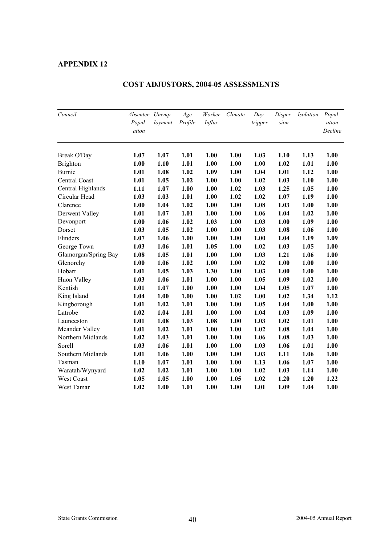| Council              | Absentee Unemp-<br>Popul-<br>ation | loyment | Age<br>Profile | Worker<br><b>Influx</b> | Climate | $Day-$<br>tripper | Disper-<br>sion | <b>Isolation</b> | Popul-<br>ation<br>Decline |
|----------------------|------------------------------------|---------|----------------|-------------------------|---------|-------------------|-----------------|------------------|----------------------------|
| Break O'Day          | 1.07                               | 1.07    | 1.01           | 1.00                    | 1.00    | 1.03              | 1.10            | 1.13             | 1.00                       |
| <b>Brighton</b>      | 1.00                               | 1.10    | 1.01           | 1.00                    | 1.00    | 1.00              | 1.02            | 1.01             | 1.00                       |
| <b>Burnie</b>        | 1.01                               | 1.08    | 1.02           | 1.09                    | 1.00    | 1.04              | 1.01            | 1.12             | 1.00                       |
| Central Coast        | 1.01                               | 1.05    | 1.02           | 1.00                    | 1.00    | 1.02              | 1.03            | 1.10             | 1.00                       |
| Central Highlands    | 1.11                               | 1.07    | 1.00           | 1.00                    | 1.02    | 1.03              | 1.25            | 1.05             | 1.00                       |
| Circular Head        | 1.03                               | 1.03    | 1.01           | 1.00                    | 1.02    | 1.02              | 1.07            | 1.19             | 1.00                       |
| Clarence             | 1.00                               | 1.04    | 1.02           | 1.00                    | 1.00    | 1.08              | 1.03            | 1.00             | 1.00                       |
| Derwent Valley       | 1.01                               | 1.07    | 1.01           | 1.00                    | 1.00    | 1.06              | 1.04            | 1.02             | 1.00                       |
| Devonport            | 1.00                               | 1.06    | 1.02           | 1.03                    | 1.00    | 1.03              | 1.00            | 1.09             | 1.00                       |
| Dorset               | 1.03                               | 1.05    | 1.02           | 1.00                    | 1.00    | 1.03              | 1.08            | 1.06             | 1.00                       |
| Flinders             | 1.07                               | 1.06    | 1.00           | 1.00                    | 1.00    | 1.00              | 1.04            | 1.19             | 1.09                       |
| George Town          | 1.03                               | 1.06    | 1.01           | 1.05                    | 1.00    | 1.02              | 1.03            | 1.05             | 1.00                       |
| Glamorgan/Spring Bay | 1.08                               | 1.05    | 1.01           | 1.00                    | 1.00    | 1.03              | 1.21            | 1.06             | 1.00                       |
| Glenorchy            | 1.00                               | 1.06    | 1.02           | 1.00                    | 1.00    | 1.02              | 1.00            | 1.00             | 1.00                       |
| Hobart               | 1.01                               | 1.05    | 1.03           | 1.30                    | 1.00    | 1.03              | 1.00            | 1.00             | 1.00                       |
| Huon Valley          | 1.03                               | 1.06    | 1.01           | 1.00                    | 1.00    | 1.05              | 1.09            | 1.02             | 1.00                       |
| Kentish              | 1.01                               | 1.07    | 1.00           | 1.00                    | 1.00    | 1.04              | 1.05            | 1.07             | 1.00                       |
| King Island          | 1.04                               | 1.00    | 1.00           | 1.00                    | 1.02    | 1.00              | 1.02            | 1.34             | 1.12                       |
| Kingborough          | 1.01                               | 1.02    | 1.01           | 1.00                    | 1.00    | 1.05              | 1.04            | 1.00             | 1.00                       |
| Latrobe              | 1.02                               | 1.04    | 1.01           | 1.00                    | 1.00    | 1.04              | 1.03            | 1.09             | 1.00                       |
| Launceston           | 1.01                               | 1.08    | 1.03           | 1.08                    | 1.00    | 1.03              | 1.02            | 1.01             | 1.00                       |
| Meander Valley       | 1.01                               | 1.02    | 1.01           | 1.00                    | 1.00    | 1.02              | 1.08            | 1.04             | 1.00                       |
| Northern Midlands    | 1.02                               | 1.03    | 1.01           | 1.00                    | 1.00    | 1.06              | 1.08            | 1.03             | 1.00                       |
| Sorell               | 1.03                               | 1.06    | 1.01           | 1.00                    | 1.00    | 1.03              | 1.06            | 1.01             | 1.00                       |
| Southern Midlands    | 1.01                               | 1.06    | 1.00           | 1.00                    | 1.00    | 1.03              | 1.11            | 1.06             | 1.00                       |
| Tasman               | 1.10                               | 1.07    | 1.01           | 1.00                    | 1.00    | 1.13              | 1.06            | 1.07             | 1.00                       |
| Waratah/Wynyard      | 1.02                               | 1.02    | 1.01           | 1.00                    | 1.00    | 1.02              | 1.03            | 1.14             | 1.00                       |
| West Coast           | 1.05                               | 1.05    | 1.00           | 1.00                    | 1.05    | 1.02              | 1.20            | 1.20             | 1.22                       |
| West Tamar           | 1.02                               | 1.00    | 1.01           | 1.00                    | 1.00    | 1.01              | 1.09            | 1.04             | 1.00                       |

### **COST ADJUSTORS, 2004-05 ASSESSMENTS**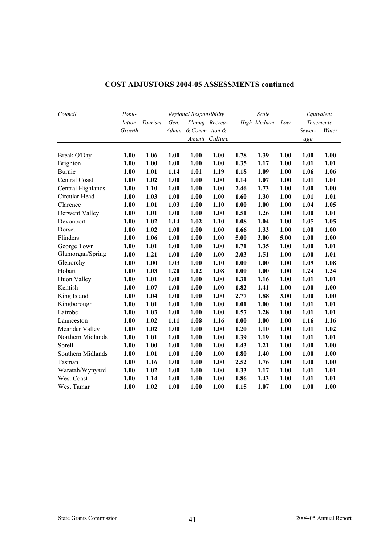| Council           | Popu-  |         |       | <b>Regional Responsibility</b> |                |      | Scale       |      | <b>Equivalent</b> |       |
|-------------------|--------|---------|-------|--------------------------------|----------------|------|-------------|------|-------------------|-------|
|                   | lation | Tourism | Gen.  |                                | Planng Recrea- |      | High Medium | Low  | <b>Tenements</b>  |       |
|                   | Growth |         | Admin | & Comm tion &                  |                |      |             |      | Sewer-            | Water |
|                   |        |         |       |                                | Amenit Culture |      |             |      | age               |       |
| Break O'Day       | 1.00   | 1.06    | 1.00  | 1.00                           | 1.00           | 1.78 | 1.39        | 1.00 | 1.00              | 1.00  |
| <b>Brighton</b>   | 1.00   | 1.00    | 1.00  | 1.00                           | 1.00           | 1.35 | 1.17        | 1.00 | 1.01              | 1.01  |
| <b>Burnie</b>     | 1.00   | 1.01    | 1.14  | 1.01                           | 1.19           | 1.18 | 1.09        | 1.00 | 1.06              | 1.06  |
| Central Coast     | 1.00   | 1.02    | 1.00  | 1.00                           | 1.00           | 1.14 | 1.07        | 1.00 | 1.01              | 1.01  |
| Central Highlands | 1.00   | 1.10    | 1.00  | 1.00                           | 1.00           | 2.46 | 1.73        | 1.00 | 1.00              | 1.00  |
| Circular Head     | 1.00   | 1.03    | 1.00  | 1.00                           | 1.00           | 1.60 | 1.30        | 1.00 | 1.01              | 1.01  |
| Clarence          | 1.00   | 1.01    | 1.03  | 1.00                           | 1.10           | 1.00 | 1.00        | 1.00 | 1.04              | 1.05  |
| Derwent Valley    | 1.00   | 1.01    | 1.00  | 1.00                           | 1.00           | 1.51 | 1.26        | 1.00 | 1.00              | 1.01  |
| Devonport         | 1.00   | 1.02    | 1.14  | 1.02                           | 1.10           | 1.08 | 1.04        | 1.00 | 1.05              | 1.05  |
| Dorset            | 1.00   | 1.02    | 1.00  | 1.00                           | 1.00           | 1.66 | 1.33        | 1.00 | 1.00              | 1.00  |
| Flinders          | 1.00   | 1.06    | 1.00  | 1.00                           | 1.00           | 5.00 | 3.00        | 5.00 | 1.00              | 1.00  |
| George Town       | 1.00   | 1.01    | 1.00  | 1.00                           | 1.00           | 1.71 | 1.35        | 1.00 | 1.00              | 1.01  |
| Glamorgan/Spring  | 1.00   | 1.21    | 1.00  | 1.00                           | 1.00           | 2.03 | 1.51        | 1.00 | 1.00              | 1.01  |
| Glenorchy         | 1.00   | 1.00    | 1.03  | 1.00                           | 1.10           | 1.00 | 1.00        | 1.00 | 1.09              | 1.08  |
| Hobart            | 1.00   | 1.03    | 1.20  | 1.12                           | 1.08           | 1.00 | 1.00        | 1.00 | 1.24              | 1.24  |
| Huon Valley       | 1.00   | 1.01    | 1.00  | 1.00                           | 1.00           | 1.31 | 1.16        | 1.00 | 1.01              | 1.01  |
| Kentish           | 1.00   | 1.07    | 1.00  | 1.00                           | 1.00           | 1.82 | 1.41        | 1.00 | 1.00              | 1.00  |
| King Island       | 1.00   | 1.04    | 1.00  | 1.00                           | 1.00           | 2.77 | 1.88        | 3.00 | 1.00              | 1.00  |
| Kingborough       | 1.00   | 1.01    | 1.00  | 1.00                           | 1.00           | 1.01 | 1.00        | 1.00 | 1.01              | 1.01  |
| Latrobe           | 1.00   | 1.03    | 1.00  | 1.00                           | 1.00           | 1.57 | 1.28        | 1.00 | 1.01              | 1.01  |
| Launceston        | 1.00   | 1.02    | 1.11  | 1.08                           | 1.16           | 1.00 | 1.00        | 1.00 | 1.16              | 1.16  |
| Meander Valley    | 1.00   | 1.02    | 1.00  | 1.00                           | 1.00           | 1.20 | 1.10        | 1.00 | 1.01              | 1.02  |
| Northern Midlands | 1.00   | 1.01    | 1.00  | 1.00                           | 1.00           | 1.39 | 1.19        | 1.00 | 1.01              | 1.01  |
| Sorell            | 1.00   | 1.00    | 1.00  | 1.00                           | 1.00           | 1.43 | 1.21        | 1.00 | 1.00              | 1.00  |
| Southern Midlands | 1.00   | 1.01    | 1.00  | 1.00                           | 1.00           | 1.80 | 1.40        | 1.00 | 1.00              | 1.00  |
| Tasman            | 1.00   | 1.16    | 1.00  | 1.00                           | 1.00           | 2.52 | 1.76        | 1.00 | 1.00              | 1.00  |
| Waratah/Wynyard   | 1.00   | 1.02    | 1.00  | 1.00                           | 1.00           | 1.33 | 1.17        | 1.00 | 1.01              | 1.01  |
| West Coast        | 1.00   | 1.14    | 1.00  | 1.00                           | 1.00           | 1.86 | 1.43        | 1.00 | 1.01              | 1.01  |
| West Tamar        | 1.00   | 1.02    | 1.00  | 1.00                           | 1.00           | 1.15 | 1.07        | 1.00 | 1.00              | 1.00  |

### **COST ADJUSTORS 2004-05 ASSESSMENTS continued**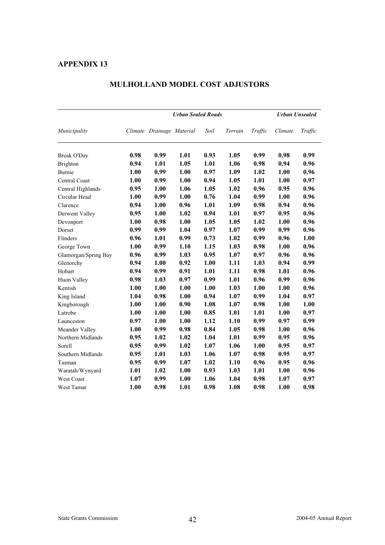|                      |      | <b>Urban Unsealed</b>     |      |      |         |         |         |         |
|----------------------|------|---------------------------|------|------|---------|---------|---------|---------|
| Municipality         |      | Climate Drainage Material |      | Soil | Terrain | Traffic | Climate | Traffic |
| Break O'Day          | 0.98 | 0.99                      | 1.01 | 0.93 | 1.05    | 0.99    | 0.98    | 0.99    |
| <b>Brighton</b>      | 0.94 | 1.01                      | 1.05 | 1.01 | 1.06    | 0.98    | 0.94    | 0.96    |
| Burnie               | 1.00 | 0.99                      | 1.00 | 0.97 | 1.09    | 1.02    | 1.00    | 0.96    |
| Central Coast        | 1.00 | 0.99                      | 1.00 | 0.94 | 1.05    | 1.01    | 1.00    | 0.97    |
| Central Highlands    | 0.95 | 1.00                      | 1.06 | 1.05 | 1.02    | 0.96    | 0.95    | 0.96    |
| Circular Head        | 1.00 | 0.99                      | 1.00 | 0.76 | 1.04    | 0.99    | 1.00    | 0.96    |
| Clarence             | 0.94 | 1.00                      | 0.96 | 1.01 | 1.09    | 0.98    | 0.94    | 0.96    |
| Derwent Valley       | 0.95 | 1.00                      | 1.02 | 0.94 | 1.01    | 0.97    | 0.95    | 0.96    |
| Devonport            | 1.00 | 0.98                      | 1.00 | 1.05 | 1.05    | 1.02    | 1.00    | 0.96    |
| Dorset               | 0.99 | 0.99                      | 1.04 | 0.97 | 1.07    | 0.99    | 0.99    | 0.96    |
| Flinders             | 0.96 | 1.01                      | 0.99 | 0.73 | 1.02    | 0.99    | 0.96    | 1.00    |
| George Town          | 1.00 | 0.99                      | 1.10 | 1.15 | 1.03    | 0.98    | 1.00    | 0.96    |
| Glamorgan/Spring Bay | 0.96 | 0.99                      | 1.03 | 0.95 | 1.07    | 0.97    | 0.96    | 0.96    |
| Glenorchy            | 0.94 | 1.00                      | 0.92 | 1.00 | 1.11    | 1.03    | 0.94    | 0.99    |
| Hobart               | 0.94 | 0.99                      | 0.91 | 1.01 | 1.11    | 0.98    | 1.01    | 0.96    |
| Huon Valley          | 0.98 | 1.03                      | 0.97 | 0.99 | 1.01    | 0.96    | 0.99    | 0.96    |
| Kentish              | 1.00 | 1.00                      | 1.00 | 1.00 | 1.03    | 1.00    | 1.00    | 0.96    |
| King Island          | 1.04 | 0.98                      | 1.00 | 0.94 | 1.07    | 0.99    | 1.04    | 0.97    |
| Kingborough          | 1.00 | 1.00                      | 0.90 | 1.08 | 1.07    | 0.98    | 1.00    | 1.00    |
| Latrobe              | 1.00 | 1.00                      | 1.00 | 0.85 | 1.01    | 1.01    | 1.00    | 0.97    |
| Launceston           | 0.97 | 1.00                      | 1.00 | 1.12 | 1.10    | 0.99    | 0.97    | 0.99    |
| Meander Valley       | 1.00 | 0.99                      | 0.98 | 0.84 | 1.05    | 0.98    | 1.00    | 0.96    |
| Northern Midlands    | 0.95 | 1.02                      | 1.02 | 1.04 | 1.01    | 0.99    | 0.95    | 0.96    |
| Sorell               | 0.95 | 0.99                      | 1.02 | 1.07 | 1.06    | 1.00    | 0.95    | 0.97    |
| Southern Midlands    | 0.95 | 1.01                      | 1.03 | 1.06 | 1.07    | 0.98    | 0.95    | 0.97    |
| Tasman               | 0.95 | 0.99                      | 1.07 | 1.02 | 1.10    | 0.96    | 0.95    | 0.96    |
| Waratah/Wynyard      | 1.01 | 1.02                      | 1.00 | 0.93 | 1.03    | 1.01    | 1.00    | 0.96    |
| West Coast           | 1.07 | 0.99                      | 1.00 | 1.06 | 1.04    | 0.98    | 1.07    | 0.97    |
| West Tamar           | 1.00 | 0.98                      | 1.01 | 0.98 | 1.08    | 0.98    | 1.00    | 0.98    |

#### **MULHOLLAND MODEL COST ADJUSTORS**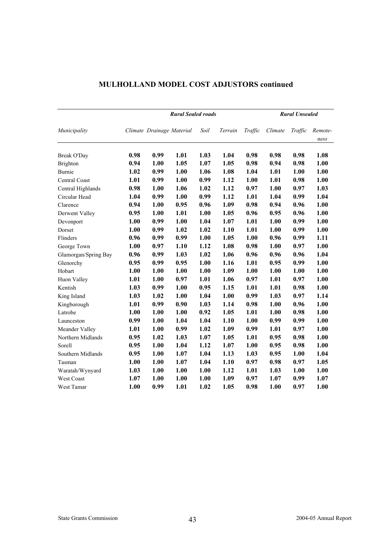|                      | <b>Rural Sealed roads</b> |                           |      |      |         |         |         | <b>Rural Unsealed</b> |                 |  |
|----------------------|---------------------------|---------------------------|------|------|---------|---------|---------|-----------------------|-----------------|--|
| Municipality         |                           | Climate Drainage Material |      | Soil | Terrain | Traffic | Climate | Traffic               | Remote-<br>ness |  |
| <b>Break O'Day</b>   | 0.98                      | 0.99                      | 1.01 | 1.03 | 1.04    | 0.98    | 0.98    | 0.98                  | 1.08            |  |
| <b>Brighton</b>      | 0.94                      | 1.00                      | 1.05 | 1.07 | 1.05    | 0.98    | 0.94    | 0.98                  | 1.00            |  |
| Burnie               | 1.02                      | 0.99                      | 1.00 | 1.06 | 1.08    | 1.04    | 1.01    | 1.00                  | 1.00            |  |
| Central Coast        | 1.01                      | 0.99                      | 1.00 | 0.99 | 1.12    | 1.00    | 1.01    | 0.98                  | 1.00            |  |
| Central Highlands    | 0.98                      | 1.00                      | 1.06 | 1.02 | 1.12    | 0.97    | 1.00    | 0.97                  | 1.03            |  |
| Circular Head        | 1.04                      | 0.99                      | 1.00 | 0.99 | 1.12    | 1.01    | 1.04    | 0.99                  | 1.04            |  |
| Clarence             | 0.94                      | 1.00                      | 0.95 | 0.96 | 1.09    | 0.98    | 0.94    | 0.96                  | 1.00            |  |
| Derwent Valley       | 0.95                      | 1.00                      | 1.01 | 1.00 | 1.05    | 0.96    | 0.95    | 0.96                  | 1.00            |  |
| Devonport            | 1.00                      | 0.99                      | 1.00 | 1.04 | 1.07    | 1.01    | 1.00    | 0.99                  | 1.00            |  |
| Dorset               | 1.00                      | 0.99                      | 1.02 | 1.02 | 1.10    | 1.01    | 1.00    | 0.99                  | 1.00            |  |
| Flinders             | 0.96                      | 0.99                      | 0.99 | 1.00 | 1.05    | 1.00    | 0.96    | 0.99                  | 1.11            |  |
| George Town          | 1.00                      | 0.97                      | 1.10 | 1.12 | 1.08    | 0.98    | 1.00    | 0.97                  | 1.00            |  |
| Glamorgan/Spring Bay | 0.96                      | 0.99                      | 1.03 | 1.02 | 1.06    | 0.96    | 0.96    | 0.96                  | 1.04            |  |
| Glenorchy            | 0.95                      | 0.99                      | 0.95 | 1.00 | 1.16    | 1.01    | 0.95    | 0.99                  | 1.00            |  |
| Hobart               | 1.00                      | 1.00                      | 1.00 | 1.00 | 1.09    | 1.00    | 1.00    | 1.00                  | 1.00            |  |
| Huon Valley          | 1.01                      | 1.00                      | 0.97 | 1.01 | 1.06    | 0.97    | 1.01    | 0.97                  | 1.00            |  |
| Kentish              | 1.03                      | 0.99                      | 1.00 | 0.95 | 1.15    | 1.01    | 1.01    | 0.98                  | 1.00            |  |
| King Island          | 1.03                      | 1.02                      | 1.00 | 1.04 | 1.00    | 0.99    | 1.03    | 0.97                  | 1.14            |  |
| Kingborough          | 1.01                      | 0.99                      | 0.90 | 1.03 | 1.14    | 0.98    | 1.00    | 0.96                  | 1.00            |  |
| Latrobe              | 1.00                      | 1.00                      | 1.00 | 0.92 | 1.05    | 1.01    | 1.00    | 0.98                  | 1.00            |  |
| Launceston           | 0.99                      | 1.00                      | 1.04 | 1.04 | 1.10    | 1.00    | 0.99    | 0.99                  | 1.00            |  |
| Meander Valley       | 1.01                      | 1.00                      | 0.99 | 1.02 | 1.09    | 0.99    | 1.01    | 0.97                  | 1.00            |  |
| Northern Midlands    | 0.95                      | 1.02                      | 1.03 | 1.07 | 1.05    | 1.01    | 0.95    | 0.98                  | 1.00            |  |
| Sorell               | 0.95                      | 1.00                      | 1.04 | 1.12 | 1.07    | 1.00    | 0.95    | 0.98                  | 1.00            |  |
| Southern Midlands    | 0.95                      | 1.00                      | 1.07 | 1.04 | 1.13    | 1.03    | 0.95    | 1.00                  | 1.04            |  |
| Tasman               | 1.00                      | 1.00                      | 1.07 | 1.04 | 1.10    | 0.97    | 0.98    | 0.97                  | 1.05            |  |
| Waratah/Wynyard      | 1.03                      | 1.00                      | 1.00 | 1.00 | 1.12    | 1.01    | 1.03    | 1.00                  | 1.00            |  |
| <b>West Coast</b>    | 1.07                      | 1.00                      | 1.00 | 1.00 | 1.09    | 0.97    | 1.07    | 0.99                  | 1.07            |  |
| West Tamar           | 1.00                      | 0.99                      | 1.01 | 1.02 | 1.05    | 0.98    | 1.00    | 0.97                  | 1.00            |  |

### **MULHOLLAND MODEL COST ADJUSTORS continued**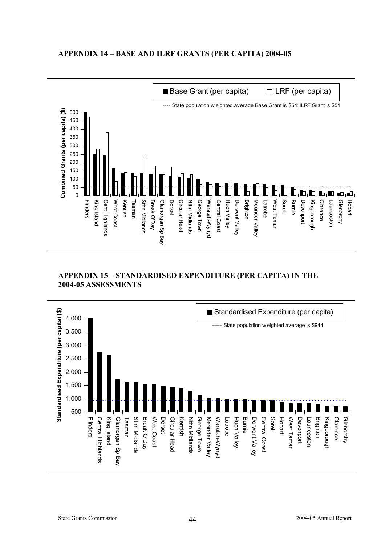#### $\blacksquare$  Base Grant (per capita)  $\Box$  ILRF (per capita) ---- State population w eighted average Base Grant is \$54; ILRF Grant is \$51 **)** 500 **Combined Grants (per capita) (\$** 450 400 350 300 250 200 150 100 50  $\overline{0}$ Kentish Sorell Burnie Kingborough **Clarence** Glenorchy Hobart King Island Cent Highlands West Coas **Sthn Midlands** Break O'Day Glamorgan Sp Bay Dorset Circular Head **Nthn Midlands** George Town Waratah-Wynyd Central Coast Huon Valley Derwent Valley Brighton Meander Valley West Tamar Devonport Launceston Flinders King Island Cent Highlands West Coast Tasman Sthn Midlands Break O'Day Glamorgan Sp Bay Circular Head Nthn Midlands George Town Waratah-Wynyd Central Coast Huon Valley Derwent Valley Meander Valley Latrobe West Tamar Kingborough Clarence Launceston

### **APPENDIX 14 – BASE AND ILRF GRANTS (PER CAPITA) 2004-05**

### **APPENDIX 15 – STANDARDISED EXPENDITURE (PER CAPITA) IN THE 2004-05 ASSESSMENTS**

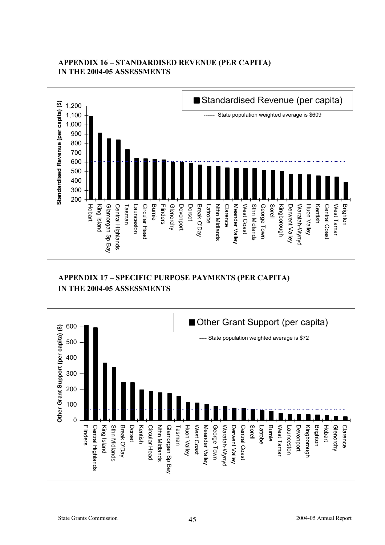### **APPENDIX 16 – STANDARDISED REVENUE (PER CAPITA) IN THE 2004-05 ASSESSMENTS**



### **APPENDIX 17 – SPECIFIC PURPOSE PAYMENTS (PER CAPITA) IN THE 2004-05 ASSESSMENTS**

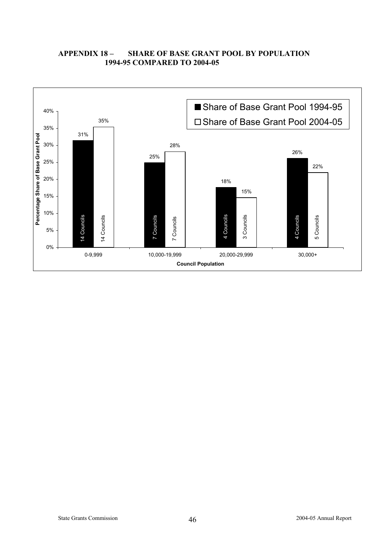### **APPENDIX 18 – SHARE OF BASE GRANT POOL BY POPULATION 1994-95 COMPARED TO 2004-05**

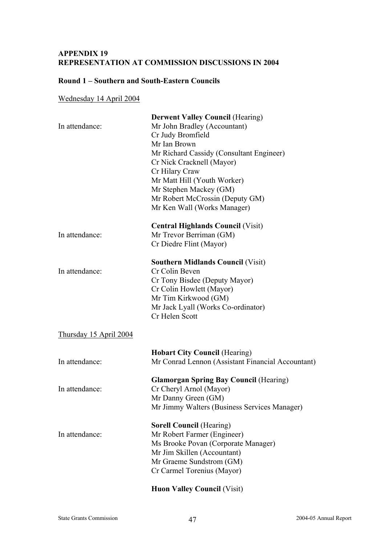### **APPENDIX 19 REPRESENTATION AT COMMISSION DISCUSSIONS IN 2004**

### **Round 1 – Southern and South-Eastern Councils**

### Wednesday 14 April 2004

| In attendance:                | <b>Derwent Valley Council (Hearing)</b><br>Mr John Bradley (Accountant)<br>Cr Judy Bromfield<br>Mr Ian Brown<br>Mr Richard Cassidy (Consultant Engineer)<br>Cr Nick Cracknell (Mayor)<br>Cr Hilary Craw<br>Mr Matt Hill (Youth Worker)<br>Mr Stephen Mackey (GM)<br>Mr Robert McCrossin (Deputy GM) |
|-------------------------------|-----------------------------------------------------------------------------------------------------------------------------------------------------------------------------------------------------------------------------------------------------------------------------------------------------|
| In attendance:                | Mr Ken Wall (Works Manager)<br><b>Central Highlands Council (Visit)</b><br>Mr Trevor Berriman (GM)<br>Cr Diedre Flint (Mayor)                                                                                                                                                                       |
| In attendance:                | <b>Southern Midlands Council (Visit)</b><br>Cr Colin Beven<br>Cr Tony Bisdee (Deputy Mayor)<br>Cr Colin Howlett (Mayor)<br>Mr Tim Kirkwood (GM)<br>Mr Jack Lyall (Works Co-ordinator)<br>Cr Helen Scott                                                                                             |
| <u>Thursday 15 April 2004</u> |                                                                                                                                                                                                                                                                                                     |
| In attendance:                | <b>Hobart City Council (Hearing)</b><br>Mr Conrad Lennon (Assistant Financial Accountant)                                                                                                                                                                                                           |
| In attendance:                | <b>Glamorgan Spring Bay Council (Hearing)</b><br>Cr Cheryl Arnol (Mayor)<br>Mr Danny Green (GM)<br>Mr Jimmy Walters (Business Services Manager)                                                                                                                                                     |
| In attendance:                | <b>Sorell Council (Hearing)</b><br>Mr Robert Farmer (Engineer)<br>Ms Brooke Povan (Corporate Manager)<br>Mr Jim Skillen (Accountant)<br>Mr Graeme Sundstrom (GM)<br>Cr Carmel Torenius (Mayor)                                                                                                      |
|                               | <b>Huon Valley Council (Visit)</b>                                                                                                                                                                                                                                                                  |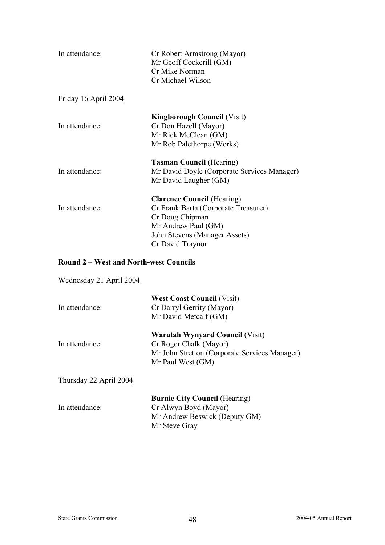| In attendance:              | Cr Robert Armstrong (Mayor)<br>Mr Geoff Cockerill (GM)<br>Cr Mike Norman<br>Cr Michael Wilson                                                                            |
|-----------------------------|--------------------------------------------------------------------------------------------------------------------------------------------------------------------------|
| <u>Friday 16 April 2004</u> |                                                                                                                                                                          |
| In attendance:              | <b>Kingborough Council (Visit)</b><br>Cr Don Hazell (Mayor)<br>Mr Rick McClean (GM)<br>Mr Rob Palethorpe (Works)                                                         |
| In attendance:              | <b>Tasman Council (Hearing)</b><br>Mr David Doyle (Corporate Services Manager)<br>Mr David Laugher (GM)                                                                  |
| In attendance:              | <b>Clarence Council (Hearing)</b><br>Cr Frank Barta (Corporate Treasurer)<br>Cr Doug Chipman<br>Mr Andrew Paul (GM)<br>John Stevens (Manager Assets)<br>Cr David Traynor |

### **Round 2 – West and North-west Councils**

| Wednesday 21 April 2004 |                                                                                                                                        |
|-------------------------|----------------------------------------------------------------------------------------------------------------------------------------|
| In attendance:          | <b>West Coast Council (Visit)</b><br>Cr Darryl Gerrity (Mayor)<br>Mr David Metcalf (GM)                                                |
| In attendance:          | <b>Waratah Wynyard Council (Visit)</b><br>Cr Roger Chalk (Mayor)<br>Mr John Stretton (Corporate Services Manager)<br>Mr Paul West (GM) |
| Thursday 22 April 2004  |                                                                                                                                        |
| In attendance:          | <b>Burnie City Council (Hearing)</b><br>Cr Alwyn Boyd (Mayor)                                                                          |

Mr Andrew Beswick (Deputy GM)

Mr Steve Gray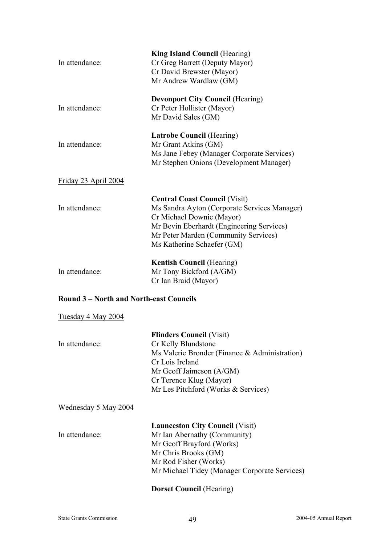| In attendance:                               | <b>King Island Council (Hearing)</b><br>Cr Greg Barrett (Deputy Mayor)<br>Cr David Brewster (Mayor)<br>Mr Andrew Wardlaw (GM)                                                                                                        |
|----------------------------------------------|--------------------------------------------------------------------------------------------------------------------------------------------------------------------------------------------------------------------------------------|
| In attendance:                               | <b>Devonport City Council (Hearing)</b><br>Cr Peter Hollister (Mayor)<br>Mr David Sales (GM)                                                                                                                                         |
| In attendance:                               | <b>Latrobe Council (Hearing)</b><br>Mr Grant Atkins (GM)<br>Ms Jane Febey (Manager Corporate Services)<br>Mr Stephen Onions (Development Manager)                                                                                    |
| Friday 23 April 2004                         |                                                                                                                                                                                                                                      |
| In attendance:                               | <b>Central Coast Council (Visit)</b><br>Ms Sandra Ayton (Corporate Services Manager)<br>Cr Michael Downie (Mayor)<br>Mr Bevin Eberhardt (Engineering Services)<br>Mr Peter Marden (Community Services)<br>Ms Katherine Schaefer (GM) |
| In attendance:                               | <b>Kentish Council (Hearing)</b><br>Mr Tony Bickford (A/GM)<br>Cr Ian Braid (Mayor)                                                                                                                                                  |
| <b>Round 3-North and North-east Councils</b> |                                                                                                                                                                                                                                      |
| Tuesday 4 May 2004                           |                                                                                                                                                                                                                                      |
| In attendance:                               | <b>Flinders Council (Visit)</b><br>Cr Kelly Blundstone<br>Ms Valerie Bronder (Finance & Administration)<br>Cr Lois Ireland<br>Mr Geoff Jaimeson (A/GM)                                                                               |

### Wednesday 5 May 2004

| In attendance: |
|----------------|
|                |

 **Launceston City Council** (Visit) Mr Ian Abernathy (Community) Mr Geoff Brayford (Works) Mr Chris Brooks (GM) Mr Rod Fisher (Works) Mr Michael Tidey (Manager Corporate Services)

### **Dorset Council** (Hearing)

Cr Terence Klug (Mayor)

Mr Les Pitchford (Works & Services)